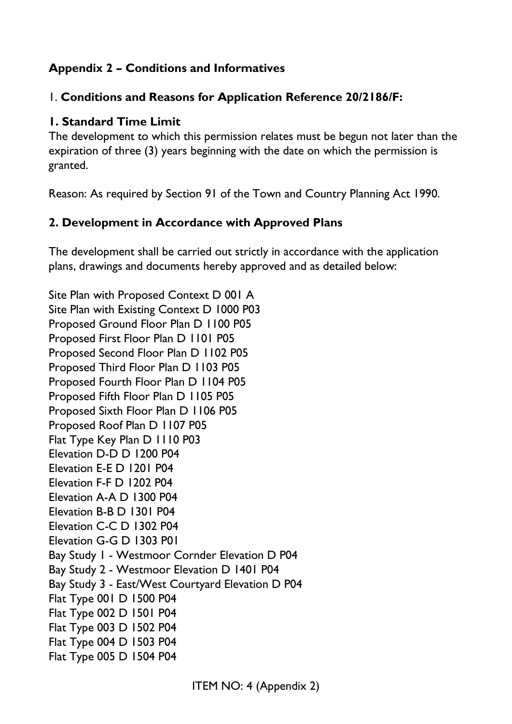### **Appendix 2 – Conditions and Informatives**

### 1. **Conditions and Reasons for Application Reference 20/2186/F:**

#### **1. Standard Time Limit**

The development to which this permission relates must be begun not later than the expiration of three (3) years beginning with the date on which the permission is granted.

Reason: As required by Section 91 of the Town and Country Planning Act 1990.

### **2. Development in Accordance with Approved Plans**

The development shall be carried out strictly in accordance with the application plans, drawings and documents hereby approved and as detailed below:

Site Plan with Proposed Context D 001 A Site Plan with Existing Context D 1000 P03 Proposed Ground Floor Plan D 1100 P05 Proposed First Floor Plan D 1101 P05 Proposed Second Floor Plan D 1102 P05 Proposed Third Floor Plan D 1103 P05 Proposed Fourth Floor Plan D 1104 P05 Proposed Fifth Floor Plan D 1105 P05 Proposed Sixth Floor Plan D 1106 P05 Proposed Roof Plan D 1107 P05 Flat Type Key Plan D 1110 P03 Elevation D-D D 1200 P04 Elevation E-E D 1201 P04 Elevation F-F D 1202 P04 Elevation A-A D 1300 P04 Elevation B-B D 1301 P04 Elevation C-C D 1302 P04 Elevation G-G D 1303 P01 Bay Study 1 - Westmoor Cornder Elevation D P04 Bay Study 2 - Westmoor Elevation D 1401 P04 Bay Study 3 - East/West Courtyard Elevation D P04 Flat Type 001 D 1500 P04 Flat Type 002 D 1501 P04 Flat Type 003 D 1502 P04 Flat Type 004 D 1503 P04 Flat Type 005 D 1504 P04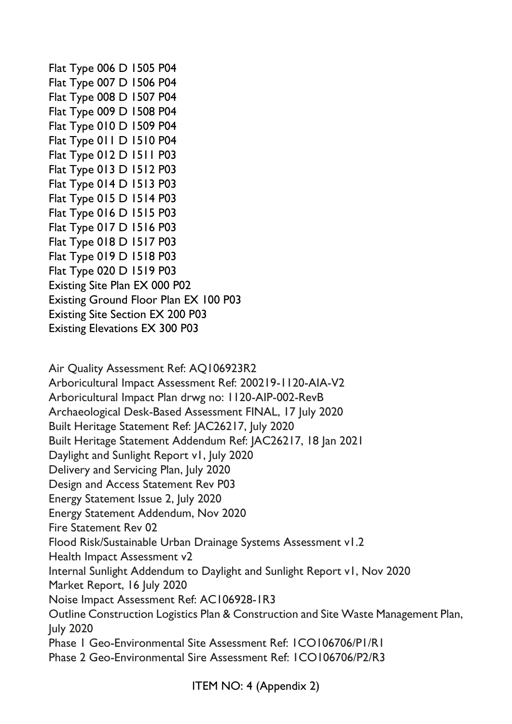Flat Type 006 D 1505 P04 Flat Type 007 D 1506 P04 Flat Type 008 D 1507 P04 Flat Type 009 D 1508 P04 Flat Type 010 D 1509 P04 Flat Type 011 D 1510 P04 Flat Type 012 D 1511 P03 Flat Type 013 D 1512 P03 Flat Type 014 D 1513 P03 Flat Type 015 D 1514 P03 Flat Type 016 D 1515 P03 Flat Type 017 D 1516 P03 Flat Type 018 D 1517 P03 Flat Type 019 D 1518 P03 Flat Type 020 D 1519 P03 Existing Site Plan EX 000 P02 Existing Ground Floor Plan EX 100 P03 Existing Site Section EX 200 P03 Existing Elevations EX 300 P03

Air Quality Assessment Ref: AQ106923R2 Arboricultural Impact Assessment Ref: 200219-1120-AIA-V2 Arboricultural Impact Plan drwg no: 1120-AIP-002-RevB Archaeological Desk-Based Assessment FINAL, 17 July 2020 Built Heritage Statement Ref: JAC26217, July 2020 Built Heritage Statement Addendum Ref: JAC26217, 18 Jan 2021 Daylight and Sunlight Report v1, July 2020 Delivery and Servicing Plan, July 2020 Design and Access Statement Rev P03 Energy Statement Issue 2, July 2020 Energy Statement Addendum, Nov 2020 Fire Statement Rev 02 Flood Risk/Sustainable Urban Drainage Systems Assessment v1.2 Health Impact Assessment v2 Internal Sunlight Addendum to Daylight and Sunlight Report v1, Nov 2020 Market Report, 16 July 2020 Noise Impact Assessment Ref: AC106928-1R3 Outline Construction Logistics Plan & Construction and Site Waste Management Plan, July 2020 Phase 1 Geo-Environmental Site Assessment Ref: 1CO106706/P1/R1 Phase 2 Geo-Environmental Sire Assessment Ref: 1CO106706/P2/R3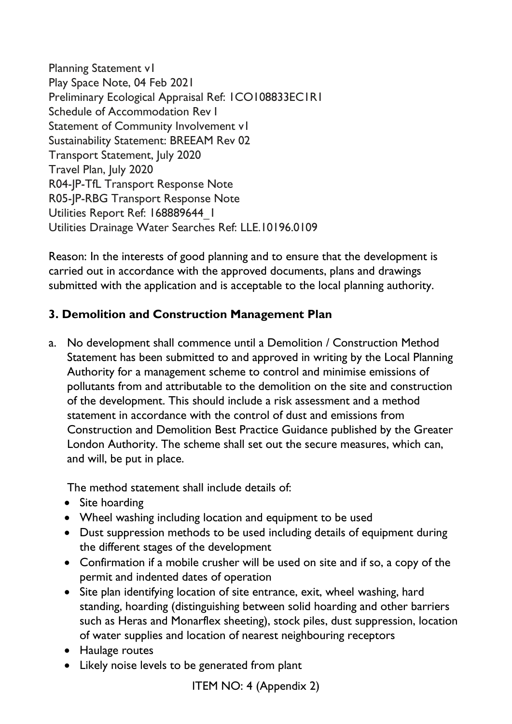Planning Statement v1 Play Space Note, 04 Feb 2021 Preliminary Ecological Appraisal Ref: 1CO108833EC1R1 Schedule of Accommodation Rev I Statement of Community Involvement v1 Sustainability Statement: BREEAM Rev 02 Transport Statement, July 2020 Travel Plan, July 2020 R04-JP-TfL Transport Response Note R05-JP-RBG Transport Response Note Utilities Report Ref: 168889644\_1 Utilities Drainage Water Searches Ref: LLE.10196.0109

Reason: In the interests of good planning and to ensure that the development is carried out in accordance with the approved documents, plans and drawings submitted with the application and is acceptable to the local planning authority.

### **3. Demolition and Construction Management Plan**

a. No development shall commence until a Demolition / Construction Method Statement has been submitted to and approved in writing by the Local Planning Authority for a management scheme to control and minimise emissions of pollutants from and attributable to the demolition on the site and construction of the development. This should include a risk assessment and a method statement in accordance with the control of dust and emissions from Construction and Demolition Best Practice Guidance published by the Greater London Authority. The scheme shall set out the secure measures, which can, and will, be put in place.

The method statement shall include details of:

- Site hoarding
- Wheel washing including location and equipment to be used
- Dust suppression methods to be used including details of equipment during the different stages of the development
- Confirmation if a mobile crusher will be used on site and if so, a copy of the permit and indented dates of operation
- Site plan identifying location of site entrance, exit, wheel washing, hard standing, hoarding (distinguishing between solid hoarding and other barriers such as Heras and Monarflex sheeting), stock piles, dust suppression, location of water supplies and location of nearest neighbouring receptors
- Haulage routes
- Likely noise levels to be generated from plant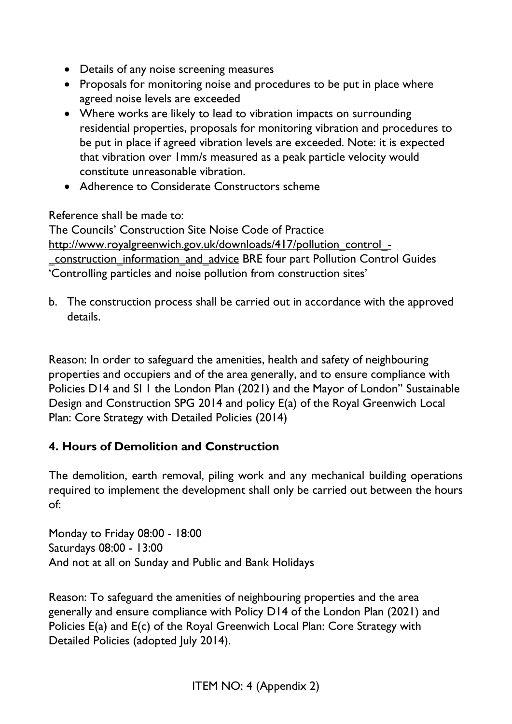- Details of any noise screening measures
- Proposals for monitoring noise and procedures to be put in place where agreed noise levels are exceeded
- Where works are likely to lead to vibration impacts on surrounding residential properties, proposals for monitoring vibration and procedures to be put in place if agreed vibration levels are exceeded. Note: it is expected that vibration over 1mm/s measured as a peak particle velocity would constitute unreasonable vibration.
- Adherence to Considerate Constructors scheme

Reference shall be made to:

The Councils' Construction Site Noise Code of Practice [http://www.royalgreenwich.gov.uk/downloads/417/pollution\\_control\\_-](http://www.royalgreenwich.gov.uk/downloads/417/pollution_control_-_construction_information_and_advice) [\\_construction\\_information\\_and\\_advice](http://www.royalgreenwich.gov.uk/downloads/417/pollution_control_-_construction_information_and_advice) BRE four part Pollution Control Guides 'Controlling particles and noise pollution from construction sites'

b. The construction process shall be carried out in accordance with the approved details.

Reason: In order to safeguard the amenities, health and safety of neighbouring properties and occupiers and of the area generally, and to ensure compliance with Policies D14 and SI 1 the London Plan (2021) and the Mayor of London" Sustainable Design and Construction SPG 2014 and policy E(a) of the Royal Greenwich Local Plan: Core Strategy with Detailed Policies (2014)

### **4. Hours of Demolition and Construction**

The demolition, earth removal, piling work and any mechanical building operations required to implement the development shall only be carried out between the hours of:

Monday to Friday 08:00 - 18:00 Saturdays 08:00 - 13:00 And not at all on Sunday and Public and Bank Holidays

Reason: To safeguard the amenities of neighbouring properties and the area generally and ensure compliance with Policy D14 of the London Plan (2021) and Policies E(a) and E(c) of the Royal Greenwich Local Plan: Core Strategy with Detailed Policies (adopted July 2014).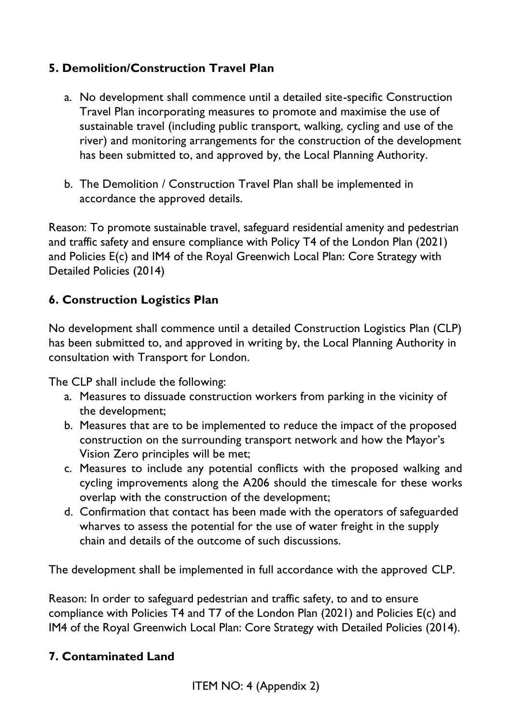## **5. Demolition/Construction Travel Plan**

- a. No development shall commence until a detailed site-specific Construction Travel Plan incorporating measures to promote and maximise the use of sustainable travel (including public transport, walking, cycling and use of the river) and monitoring arrangements for the construction of the development has been submitted to, and approved by, the Local Planning Authority.
- b. The Demolition / Construction Travel Plan shall be implemented in accordance the approved details.

Reason: To promote sustainable travel, safeguard residential amenity and pedestrian and traffic safety and ensure compliance with Policy T4 of the London Plan (2021) and Policies E(c) and IM4 of the Royal Greenwich Local Plan: Core Strategy with Detailed Policies (2014)

## **6. Construction Logistics Plan**

No development shall commence until a detailed Construction Logistics Plan (CLP) has been submitted to, and approved in writing by, the Local Planning Authority in consultation with Transport for London.

The CLP shall include the following:

- a. Measures to dissuade construction workers from parking in the vicinity of the development;
- b. Measures that are to be implemented to reduce the impact of the proposed construction on the surrounding transport network and how the Mayor's Vision Zero principles will be met;
- c. Measures to include any potential conflicts with the proposed walking and cycling improvements along the A206 should the timescale for these works overlap with the construction of the development;
- d. Confirmation that contact has been made with the operators of safeguarded wharves to assess the potential for the use of water freight in the supply chain and details of the outcome of such discussions.

The development shall be implemented in full accordance with the approved CLP.

Reason: In order to safeguard pedestrian and traffic safety, to and to ensure compliance with Policies T4 and T7 of the London Plan (2021) and Policies E(c) and IM4 of the Royal Greenwich Local Plan: Core Strategy with Detailed Policies (2014).

### **7. Contaminated Land**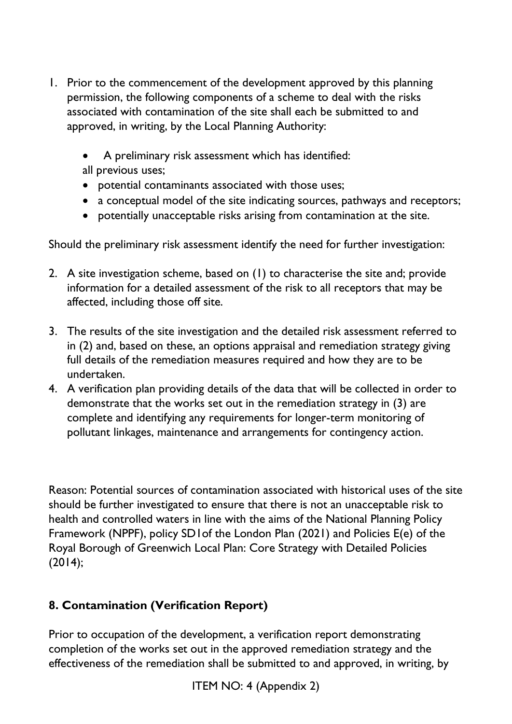- 1. Prior to the commencement of the development approved by this planning permission, the following components of a scheme to deal with the risks associated with contamination of the site shall each be submitted to and approved, in writing, by the Local Planning Authority:
	- A preliminary risk assessment which has identified: all previous uses;
	- potential contaminants associated with those uses;
	- a conceptual model of the site indicating sources, pathways and receptors;
	- potentially unacceptable risks arising from contamination at the site.

Should the preliminary risk assessment identify the need for further investigation:

- 2. A site investigation scheme, based on (1) to characterise the site and; provide information for a detailed assessment of the risk to all receptors that may be affected, including those off site.
- 3. The results of the site investigation and the detailed risk assessment referred to in (2) and, based on these, an options appraisal and remediation strategy giving full details of the remediation measures required and how they are to be undertaken.
- 4. A verification plan providing details of the data that will be collected in order to demonstrate that the works set out in the remediation strategy in (3) are complete and identifying any requirements for longer-term monitoring of pollutant linkages, maintenance and arrangements for contingency action.

Reason: Potential sources of contamination associated with historical uses of the site should be further investigated to ensure that there is not an unacceptable risk to health and controlled waters in line with the aims of the National Planning Policy Framework (NPPF), policy SD1of the London Plan (2021) and Policies E(e) of the Royal Borough of Greenwich Local Plan: Core Strategy with Detailed Policies (2014);

# **8. Contamination (Verification Report)**

Prior to occupation of the development, a verification report demonstrating completion of the works set out in the approved remediation strategy and the effectiveness of the remediation shall be submitted to and approved, in writing, by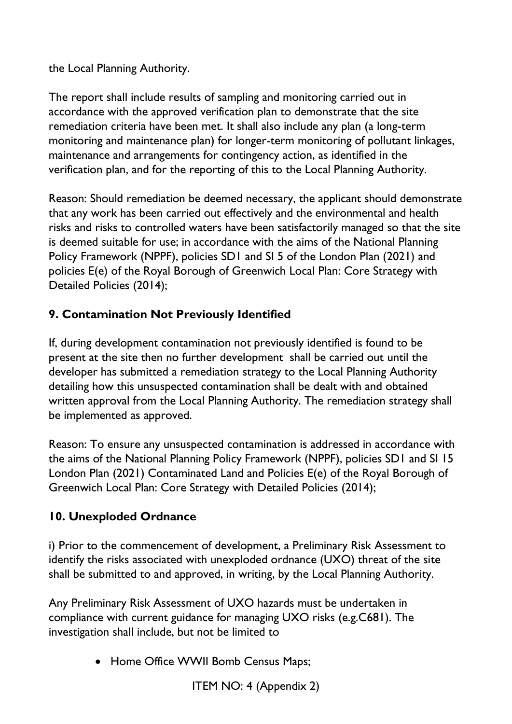the Local Planning Authority.

The report shall include results of sampling and monitoring carried out in accordance with the approved verification plan to demonstrate that the site remediation criteria have been met. It shall also include any plan (a long-term monitoring and maintenance plan) for longer-term monitoring of pollutant linkages, maintenance and arrangements for contingency action, as identified in the verification plan, and for the reporting of this to the Local Planning Authority.

Reason: Should remediation be deemed necessary, the applicant should demonstrate that any work has been carried out effectively and the environmental and health risks and risks to controlled waters have been satisfactorily managed so that the site is deemed suitable for use; in accordance with the aims of the National Planning Policy Framework (NPPF), policies SD1 and SI 5 of the London Plan (2021) and policies E(e) of the Royal Borough of Greenwich Local Plan: Core Strategy with Detailed Policies (2014);

# **9. Contamination Not Previously Identified**

If, during development contamination not previously identified is found to be present at the site then no further development shall be carried out until the developer has submitted a remediation strategy to the Local Planning Authority detailing how this unsuspected contamination shall be dealt with and obtained written approval from the Local Planning Authority. The remediation strategy shall be implemented as approved.

Reason: To ensure any unsuspected contamination is addressed in accordance with the aims of the National Planning Policy Framework (NPPF), policies SD1 and SI 15 London Plan (2021) Contaminated Land and Policies E(e) of the Royal Borough of Greenwich Local Plan: Core Strategy with Detailed Policies (2014);

# **10. Unexploded Ordnance**

i) Prior to the commencement of development, a Preliminary Risk Assessment to identify the risks associated with unexploded ordnance (UXO) threat of the site shall be submitted to and approved, in writing, by the Local Planning Authority.

Any Preliminary Risk Assessment of UXO hazards must be undertaken in compliance with current guidance for managing UXO risks (e.g.C681). The investigation shall include, but not be limited to

• Home Office WWII Bomb Census Maps;

ITEM NO: 4 (Appendix 2)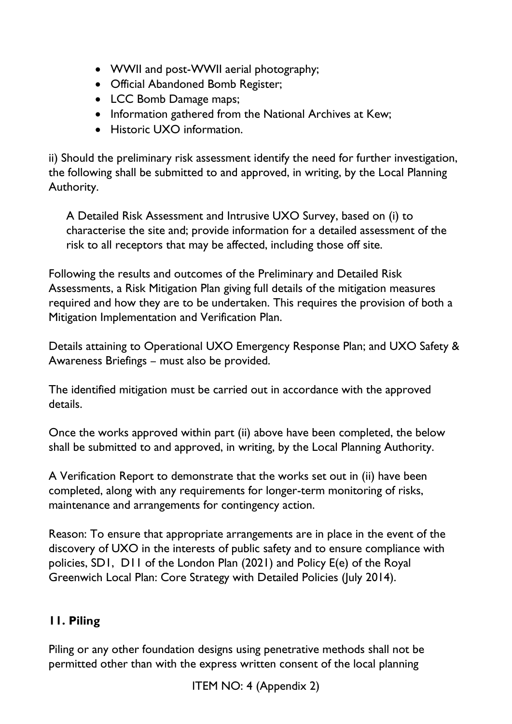- WWII and post-WWII aerial photography;
- Official Abandoned Bomb Register;
- LCC Bomb Damage maps;
- Information gathered from the National Archives at Kew;
- Historic UXO information.

ii) Should the preliminary risk assessment identify the need for further investigation, the following shall be submitted to and approved, in writing, by the Local Planning Authority.

A Detailed Risk Assessment and Intrusive UXO Survey, based on (i) to characterise the site and; provide information for a detailed assessment of the risk to all receptors that may be affected, including those off site.

Following the results and outcomes of the Preliminary and Detailed Risk Assessments, a Risk Mitigation Plan giving full details of the mitigation measures required and how they are to be undertaken. This requires the provision of both a Mitigation Implementation and Verification Plan.

Details attaining to Operational UXO Emergency Response Plan; and UXO Safety & Awareness Briefings – must also be provided.

The identified mitigation must be carried out in accordance with the approved details.

Once the works approved within part (ii) above have been completed, the below shall be submitted to and approved, in writing, by the Local Planning Authority.

A Verification Report to demonstrate that the works set out in (ii) have been completed, along with any requirements for longer-term monitoring of risks, maintenance and arrangements for contingency action.

Reason: To ensure that appropriate arrangements are in place in the event of the discovery of UXO in the interests of public safety and to ensure compliance with policies, SD1, D11 of the London Plan (2021) and Policy E(e) of the Royal Greenwich Local Plan: Core Strategy with Detailed Policies (July 2014).

# **11. Piling**

Piling or any other foundation designs using penetrative methods shall not be permitted other than with the express written consent of the local planning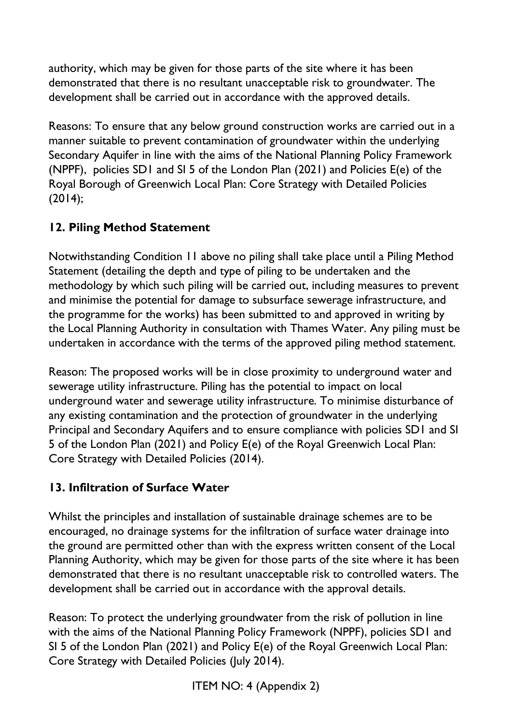authority, which may be given for those parts of the site where it has been demonstrated that there is no resultant unacceptable risk to groundwater. The development shall be carried out in accordance with the approved details.

Reasons: To ensure that any below ground construction works are carried out in a manner suitable to prevent contamination of groundwater within the underlying Secondary Aquifer in line with the aims of the National Planning Policy Framework (NPPF), policies SD1 and SI 5 of the London Plan (2021) and Policies E(e) of the Royal Borough of Greenwich Local Plan: Core Strategy with Detailed Policies (2014);

# **12. Piling Method Statement**

Notwithstanding Condition 11 above no piling shall take place until a Piling Method Statement (detailing the depth and type of piling to be undertaken and the methodology by which such piling will be carried out, including measures to prevent and minimise the potential for damage to subsurface sewerage infrastructure, and the programme for the works) has been submitted to and approved in writing by the Local Planning Authority in consultation with Thames Water. Any piling must be undertaken in accordance with the terms of the approved piling method statement.

Reason: The proposed works will be in close proximity to underground water and sewerage utility infrastructure. Piling has the potential to impact on local underground water and sewerage utility infrastructure. To minimise disturbance of any existing contamination and the protection of groundwater in the underlying Principal and Secondary Aquifers and to ensure compliance with policies SD1 and SI 5 of the London Plan (2021) and Policy E(e) of the Royal Greenwich Local Plan: Core Strategy with Detailed Policies (2014).

# **13. Infiltration of Surface Water**

Whilst the principles and installation of sustainable drainage schemes are to be encouraged, no drainage systems for the infiltration of surface water drainage into the ground are permitted other than with the express written consent of the Local Planning Authority, which may be given for those parts of the site where it has been demonstrated that there is no resultant unacceptable risk to controlled waters. The development shall be carried out in accordance with the approval details.

Reason: To protect the underlying groundwater from the risk of pollution in line with the aims of the National Planning Policy Framework (NPPF), policies SD1 and SI 5 of the London Plan (2021) and Policy E(e) of the Royal Greenwich Local Plan: Core Strategy with Detailed Policies (July 2014).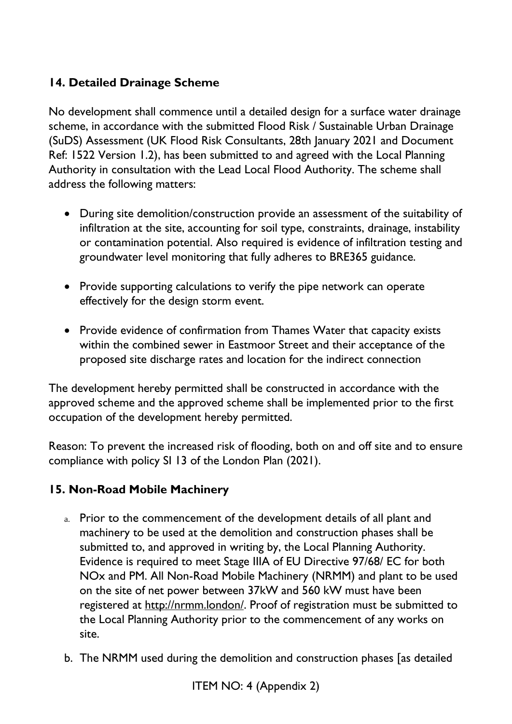## **14. Detailed Drainage Scheme**

No development shall commence until a detailed design for a surface water drainage scheme, in accordance with the submitted Flood Risk / Sustainable Urban Drainage (SuDS) Assessment (UK Flood Risk Consultants, 28th January 2021 and Document Ref: 1522 Version 1.2), has been submitted to and agreed with the Local Planning Authority in consultation with the Lead Local Flood Authority. The scheme shall address the following matters:

- During site demolition/construction provide an assessment of the suitability of infiltration at the site, accounting for soil type, constraints, drainage, instability or contamination potential. Also required is evidence of infiltration testing and groundwater level monitoring that fully adheres to BRE365 guidance.
- Provide supporting calculations to verify the pipe network can operate effectively for the design storm event.
- Provide evidence of confirmation from Thames Water that capacity exists within the combined sewer in Eastmoor Street and their acceptance of the proposed site discharge rates and location for the indirect connection

The development hereby permitted shall be constructed in accordance with the approved scheme and the approved scheme shall be implemented prior to the first occupation of the development hereby permitted.

Reason: To prevent the increased risk of flooding, both on and off site and to ensure compliance with policy SI 13 of the London Plan (2021).

### **15. Non-Road Mobile Machinery**

- a. Prior to the commencement of the development details of all plant and machinery to be used at the demolition and construction phases shall be submitted to, and approved in writing by, the Local Planning Authority. Evidence is required to meet Stage IIIA of EU Directive 97/68/ EC for both NOx and PM. All Non-Road Mobile Machinery (NRMM) and plant to be used on the site of net power between 37kW and 560 kW must have been registered at [http://nrmm.london/.](http://nrmm.london/) Proof of registration must be submitted to the Local Planning Authority prior to the commencement of any works on site.
- b. The NRMM used during the demolition and construction phases [as detailed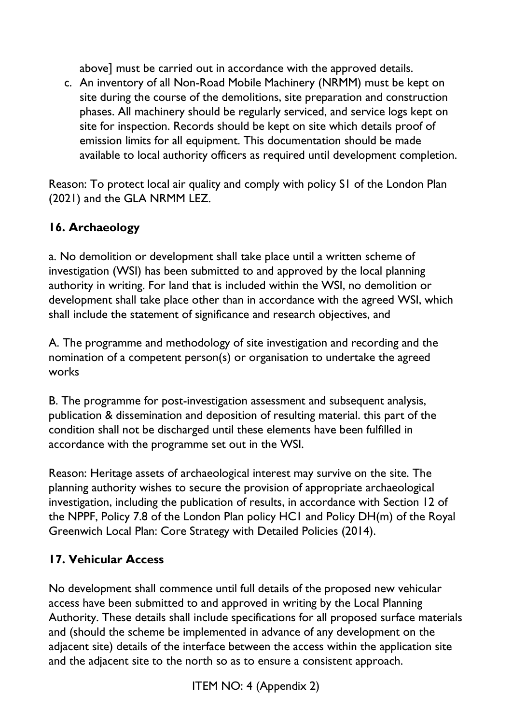above] must be carried out in accordance with the approved details.

c. An inventory of all Non-Road Mobile Machinery (NRMM) must be kept on site during the course of the demolitions, site preparation and construction phases. All machinery should be regularly serviced, and service logs kept on site for inspection. Records should be kept on site which details proof of emission limits for all equipment. This documentation should be made available to local authority officers as required until development completion.

Reason: To protect local air quality and comply with policy S1 of the London Plan (2021) and the GLA NRMM LEZ.

# **16. Archaeology**

a. No demolition or development shall take place until a written scheme of investigation (WSI) has been submitted to and approved by the local planning authority in writing. For land that is included within the WSI, no demolition or development shall take place other than in accordance with the agreed WSI, which shall include the statement of significance and research objectives, and

A. The programme and methodology of site investigation and recording and the nomination of a competent person(s) or organisation to undertake the agreed works

B. The programme for post-investigation assessment and subsequent analysis, publication & dissemination and deposition of resulting material. this part of the condition shall not be discharged until these elements have been fulfilled in accordance with the programme set out in the WSI.

Reason: Heritage assets of archaeological interest may survive on the site. The planning authority wishes to secure the provision of appropriate archaeological investigation, including the publication of results, in accordance with Section 12 of the NPPF, Policy 7.8 of the London Plan policy HC1 and Policy DH(m) of the Royal Greenwich Local Plan: Core Strategy with Detailed Policies (2014).

# **17. Vehicular Access**

No development shall commence until full details of the proposed new vehicular access have been submitted to and approved in writing by the Local Planning Authority. These details shall include specifications for all proposed surface materials and (should the scheme be implemented in advance of any development on the adjacent site) details of the interface between the access within the application site and the adjacent site to the north so as to ensure a consistent approach.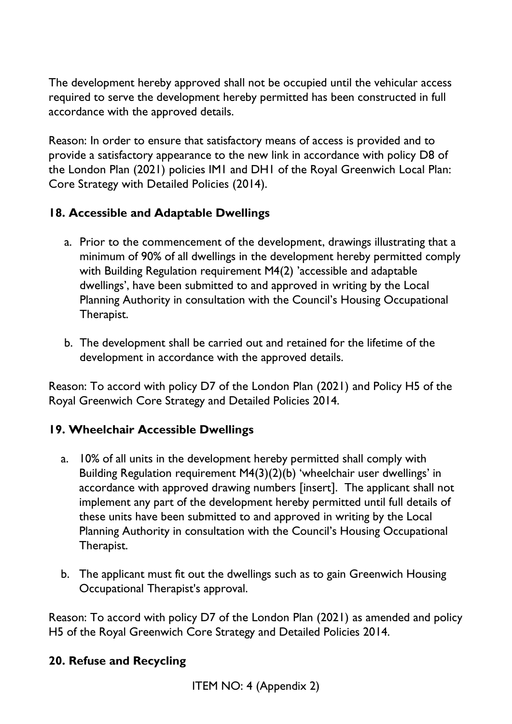The development hereby approved shall not be occupied until the vehicular access required to serve the development hereby permitted has been constructed in full accordance with the approved details.

Reason: In order to ensure that satisfactory means of access is provided and to provide a satisfactory appearance to the new link in accordance with policy D8 of the London Plan (2021) policies IM1 and DH1 of the Royal Greenwich Local Plan: Core Strategy with Detailed Policies (2014).

### **18. Accessible and Adaptable Dwellings**

- a. Prior to the commencement of the development, drawings illustrating that a minimum of 90% of all dwellings in the development hereby permitted comply with Building Regulation requirement M4(2) 'accessible and adaptable dwellings', have been submitted to and approved in writing by the Local Planning Authority in consultation with the Council's Housing Occupational Therapist.
- b. The development shall be carried out and retained for the lifetime of the development in accordance with the approved details.

Reason: To accord with policy D7 of the London Plan (2021) and Policy H5 of the Royal Greenwich Core Strategy and Detailed Policies 2014.

### **19. Wheelchair Accessible Dwellings**

- a. 10% of all units in the development hereby permitted shall comply with Building Regulation requirement M4(3)(2)(b) 'wheelchair user dwellings' in accordance with approved drawing numbers [insert]. The applicant shall not implement any part of the development hereby permitted until full details of these units have been submitted to and approved in writing by the Local Planning Authority in consultation with the Council's Housing Occupational Therapist.
- b. The applicant must fit out the dwellings such as to gain Greenwich Housing Occupational Therapist's approval.

Reason: To accord with policy D7 of the London Plan (2021) as amended and policy H5 of the Royal Greenwich Core Strategy and Detailed Policies 2014.

### **20. Refuse and Recycling**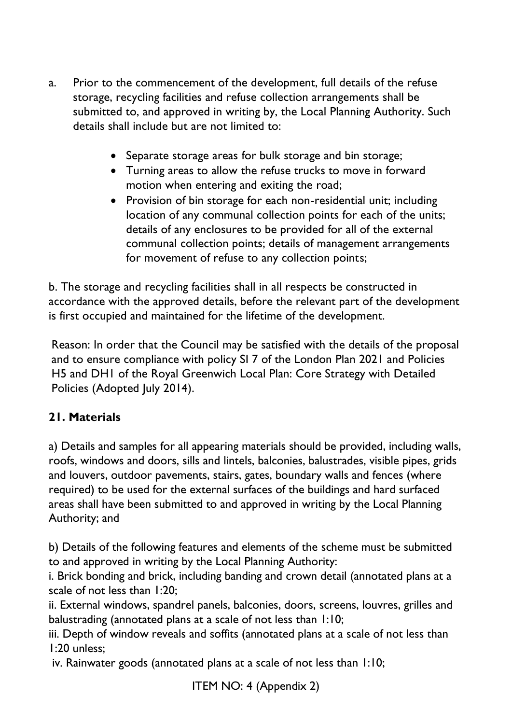- a. Prior to the commencement of the development, full details of the refuse storage, recycling facilities and refuse collection arrangements shall be submitted to, and approved in writing by, the Local Planning Authority. Such details shall include but are not limited to:
	- Separate storage areas for bulk storage and bin storage;
	- Turning areas to allow the refuse trucks to move in forward motion when entering and exiting the road;
	- Provision of bin storage for each non-residential unit; including location of any communal collection points for each of the units; details of any enclosures to be provided for all of the external communal collection points; details of management arrangements for movement of refuse to any collection points;

b. The storage and recycling facilities shall in all respects be constructed in accordance with the approved details, before the relevant part of the development is first occupied and maintained for the lifetime of the development.

Reason: In order that the Council may be satisfied with the details of the proposal and to ensure compliance with policy SI 7 of the London Plan 2021 and Policies H5 and DH1 of the Royal Greenwich Local Plan: Core Strategy with Detailed Policies (Adopted July 2014).

# **21. Materials**

a) Details and samples for all appearing materials should be provided, including walls, roofs, windows and doors, sills and lintels, balconies, balustrades, visible pipes, grids and louvers, outdoor pavements, stairs, gates, boundary walls and fences (where required) to be used for the external surfaces of the buildings and hard surfaced areas shall have been submitted to and approved in writing by the Local Planning Authority; and

b) Details of the following features and elements of the scheme must be submitted to and approved in writing by the Local Planning Authority:

i. Brick bonding and brick, including banding and crown detail (annotated plans at a scale of not less than 1:20;

ii. External windows, spandrel panels, balconies, doors, screens, louvres, grilles and balustrading (annotated plans at a scale of not less than 1:10;

iii. Depth of window reveals and soffits (annotated plans at a scale of not less than 1:20 unless;

iv. Rainwater goods (annotated plans at a scale of not less than 1:10;

ITEM NO: 4 (Appendix 2)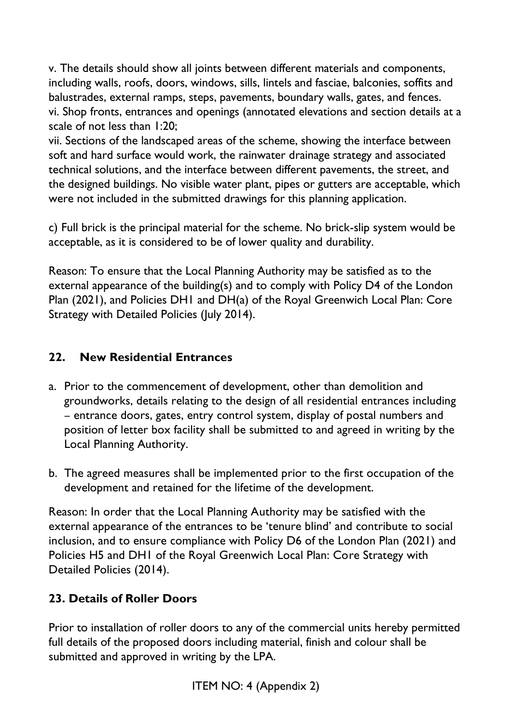v. The details should show all joints between different materials and components, including walls, roofs, doors, windows, sills, lintels and fasciae, balconies, soffits and balustrades, external ramps, steps, pavements, boundary walls, gates, and fences. vi. Shop fronts, entrances and openings (annotated elevations and section details at a scale of not less than 1:20;

vii. Sections of the landscaped areas of the scheme, showing the interface between soft and hard surface would work, the rainwater drainage strategy and associated technical solutions, and the interface between different pavements, the street, and the designed buildings. No visible water plant, pipes or gutters are acceptable, which were not included in the submitted drawings for this planning application.

c) Full brick is the principal material for the scheme. No brick-slip system would be acceptable, as it is considered to be of lower quality and durability.

Reason: To ensure that the Local Planning Authority may be satisfied as to the external appearance of the building(s) and to comply with Policy D4 of the London Plan (2021), and Policies DH1 and DH(a) of the Royal Greenwich Local Plan: Core Strategy with Detailed Policies (July 2014).

## **22. New Residential Entrances**

- a. Prior to the commencement of development, other than demolition and groundworks, details relating to the design of all residential entrances including – entrance doors, gates, entry control system, display of postal numbers and position of letter box facility shall be submitted to and agreed in writing by the Local Planning Authority.
- b. The agreed measures shall be implemented prior to the first occupation of the development and retained for the lifetime of the development.

Reason: In order that the Local Planning Authority may be satisfied with the external appearance of the entrances to be 'tenure blind' and contribute to social inclusion, and to ensure compliance with Policy D6 of the London Plan (2021) and Policies H5 and DH1 of the Royal Greenwich Local Plan: Core Strategy with Detailed Policies (2014).

### **23. Details of Roller Doors**

Prior to installation of roller doors to any of the commercial units hereby permitted full details of the proposed doors including material, finish and colour shall be submitted and approved in writing by the LPA.

ITEM NO: 4 (Appendix 2)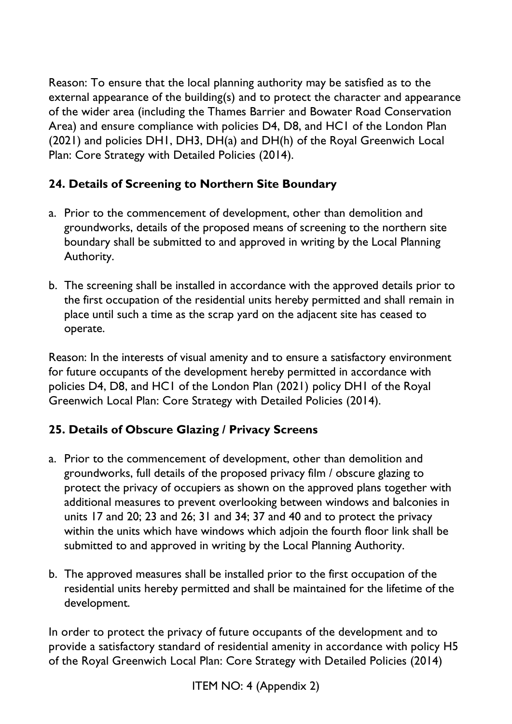Reason: To ensure that the local planning authority may be satisfied as to the external appearance of the building(s) and to protect the character and appearance of the wider area (including the Thames Barrier and Bowater Road Conservation Area) and ensure compliance with policies D4, D8, and HC1 of the London Plan (2021) and policies DH1, DH3, DH(a) and DH(h) of the Royal Greenwich Local Plan: Core Strategy with Detailed Policies (2014).

## **24. Details of Screening to Northern Site Boundary**

- a. Prior to the commencement of development, other than demolition and groundworks, details of the proposed means of screening to the northern site boundary shall be submitted to and approved in writing by the Local Planning Authority.
- b. The screening shall be installed in accordance with the approved details prior to the first occupation of the residential units hereby permitted and shall remain in place until such a time as the scrap yard on the adjacent site has ceased to operate.

Reason: In the interests of visual amenity and to ensure a satisfactory environment for future occupants of the development hereby permitted in accordance with policies D4, D8, and HC1 of the London Plan (2021) policy DH1 of the Royal Greenwich Local Plan: Core Strategy with Detailed Policies (2014).

# **25. Details of Obscure Glazing / Privacy Screens**

- a. Prior to the commencement of development, other than demolition and groundworks, full details of the proposed privacy film / obscure glazing to protect the privacy of occupiers as shown on the approved plans together with additional measures to prevent overlooking between windows and balconies in units 17 and 20; 23 and 26; 31 and 34; 37 and 40 and to protect the privacy within the units which have windows which adjoin the fourth floor link shall be submitted to and approved in writing by the Local Planning Authority.
- b. The approved measures shall be installed prior to the first occupation of the residential units hereby permitted and shall be maintained for the lifetime of the development.

In order to protect the privacy of future occupants of the development and to provide a satisfactory standard of residential amenity in accordance with policy H5 of the Royal Greenwich Local Plan: Core Strategy with Detailed Policies (2014)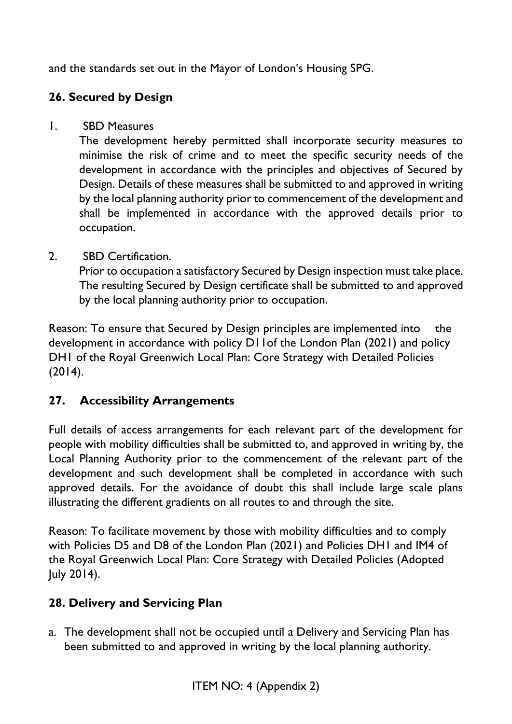and the standards set out in the Mayor of London's Housing SPG.

# **26. Secured by Design**

1. SBD Measures

The development hereby permitted shall incorporate security measures to minimise the risk of crime and to meet the specific security needs of the development in accordance with the principles and objectives of Secured by Design. Details of these measures shall be submitted to and approved in writing by the local planning authority prior to commencement of the development and shall be implemented in accordance with the approved details prior to occupation.

2. SBD Certification.

Prior to occupation a satisfactory Secured by Design inspection must take place. The resulting Secured by Design certificate shall be submitted to and approved by the local planning authority prior to occupation.

Reason: To ensure that Secured by Design principles are implemented into the development in accordance with policy D11of the London Plan (2021) and policy DH1 of the Royal Greenwich Local Plan: Core Strategy with Detailed Policies (2014).

# **27. Accessibility Arrangements**

Full details of access arrangements for each relevant part of the development for people with mobility difficulties shall be submitted to, and approved in writing by, the Local Planning Authority prior to the commencement of the relevant part of the development and such development shall be completed in accordance with such approved details. For the avoidance of doubt this shall include large scale plans illustrating the different gradients on all routes to and through the site.

Reason: To facilitate movement by those with mobility difficulties and to comply with Policies D5 and D8 of the London Plan (2021) and Policies DH1 and IM4 of the Royal Greenwich Local Plan: Core Strategy with Detailed Policies (Adopted July 2014).

# **28. Delivery and Servicing Plan**

a. The development shall not be occupied until a Delivery and Servicing Plan has been submitted to and approved in writing by the local planning authority.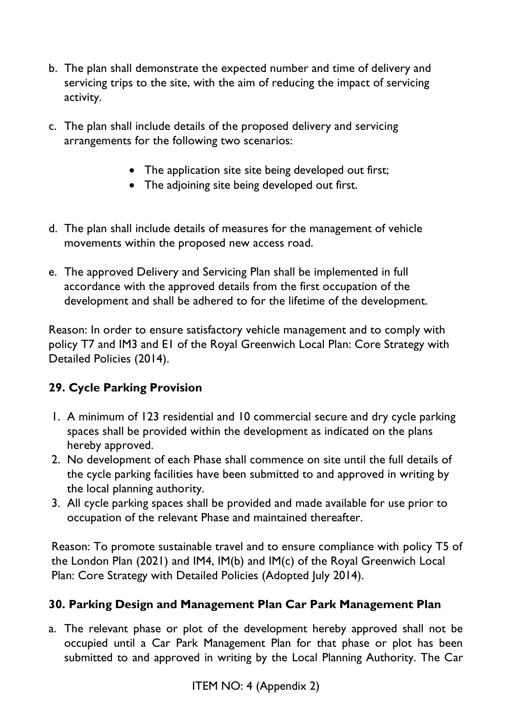- b. The plan shall demonstrate the expected number and time of delivery and servicing trips to the site, with the aim of reducing the impact of servicing activity.
- c. The plan shall include details of the proposed delivery and servicing arrangements for the following two scenarios:
	- The application site site being developed out first;
	- The adioining site being developed out first.
- d. The plan shall include details of measures for the management of vehicle movements within the proposed new access road.
- e. The approved Delivery and Servicing Plan shall be implemented in full accordance with the approved details from the first occupation of the development and shall be adhered to for the lifetime of the development.

Reason: In order to ensure satisfactory vehicle management and to comply with policy T7 and IM3 and E1 of the Royal Greenwich Local Plan: Core Strategy with Detailed Policies (2014).

# **29. Cycle Parking Provision**

- 1. A minimum of 123 residential and 10 commercial secure and dry cycle parking spaces shall be provided within the development as indicated on the plans hereby approved.
- 2. No development of each Phase shall commence on site until the full details of the cycle parking facilities have been submitted to and approved in writing by the local planning authority.
- 3. All cycle parking spaces shall be provided and made available for use prior to occupation of the relevant Phase and maintained thereafter.

Reason: To promote sustainable travel and to ensure compliance with policy T5 of the London Plan (2021) and IM4, IM(b) and IM(c) of the Royal Greenwich Local Plan: Core Strategy with Detailed Policies (Adopted July 2014).

# **30. Parking Design and Management Plan Car Park Management Plan**

a. The relevant phase or plot of the development hereby approved shall not be occupied until a Car Park Management Plan for that phase or plot has been submitted to and approved in writing by the Local Planning Authority. The Car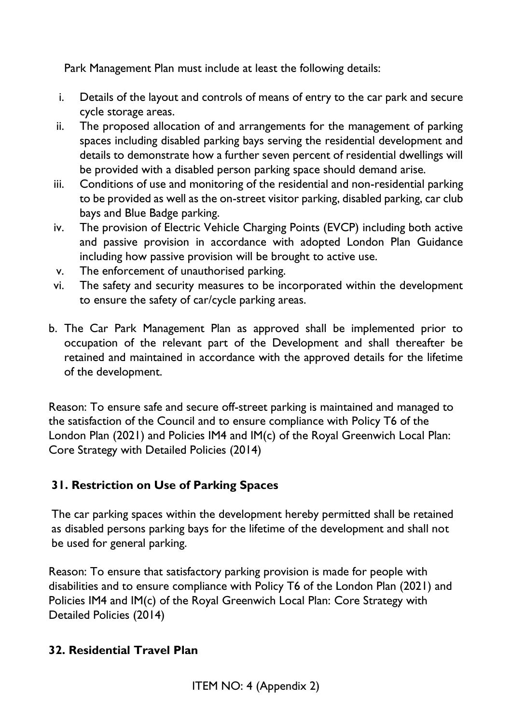Park Management Plan must include at least the following details:

- i. Details of the layout and controls of means of entry to the car park and secure cycle storage areas.
- ii. The proposed allocation of and arrangements for the management of parking spaces including disabled parking bays serving the residential development and details to demonstrate how a further seven percent of residential dwellings will be provided with a disabled person parking space should demand arise.
- iii. Conditions of use and monitoring of the residential and non-residential parking to be provided as well as the on-street visitor parking, disabled parking, car club bays and Blue Badge parking.
- iv. The provision of Electric Vehicle Charging Points (EVCP) including both active and passive provision in accordance with adopted London Plan Guidance including how passive provision will be brought to active use.
- v. The enforcement of unauthorised parking.
- vi. The safety and security measures to be incorporated within the development to ensure the safety of car/cycle parking areas.
- b. The Car Park Management Plan as approved shall be implemented prior to occupation of the relevant part of the Development and shall thereafter be retained and maintained in accordance with the approved details for the lifetime of the development.

Reason: To ensure safe and secure off-street parking is maintained and managed to the satisfaction of the Council and to ensure compliance with Policy T6 of the London Plan (2021) and Policies IM4 and IM(c) of the Royal Greenwich Local Plan: Core Strategy with Detailed Policies (2014)

### **31. Restriction on Use of Parking Spaces**

The car parking spaces within the development hereby permitted shall be retained as disabled persons parking bays for the lifetime of the development and shall not be used for general parking.

Reason: To ensure that satisfactory parking provision is made for people with disabilities and to ensure compliance with Policy T6 of the London Plan (2021) and Policies IM4 and IM(c) of the Royal Greenwich Local Plan: Core Strategy with Detailed Policies (2014)

# **32. Residential Travel Plan**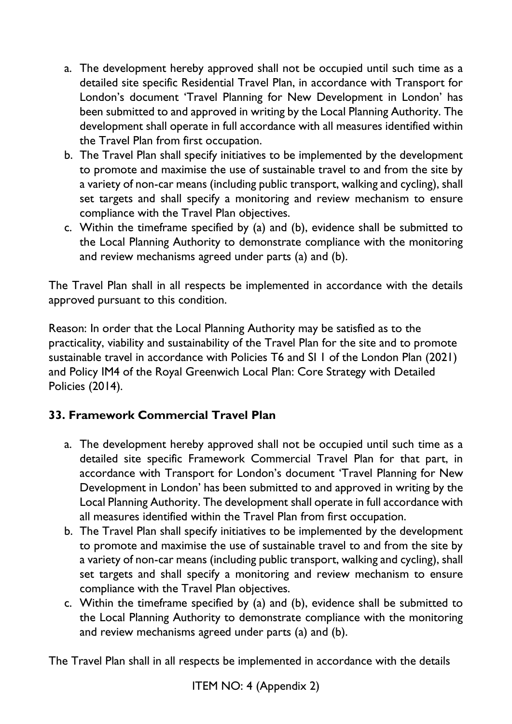- a. The development hereby approved shall not be occupied until such time as a detailed site specific Residential Travel Plan, in accordance with Transport for London's document 'Travel Planning for New Development in London' has been submitted to and approved in writing by the Local Planning Authority. The development shall operate in full accordance with all measures identified within the Travel Plan from first occupation.
- b. The Travel Plan shall specify initiatives to be implemented by the development to promote and maximise the use of sustainable travel to and from the site by a variety of non-car means (including public transport, walking and cycling), shall set targets and shall specify a monitoring and review mechanism to ensure compliance with the Travel Plan objectives.
- c. Within the timeframe specified by (a) and (b), evidence shall be submitted to the Local Planning Authority to demonstrate compliance with the monitoring and review mechanisms agreed under parts (a) and (b).

The Travel Plan shall in all respects be implemented in accordance with the details approved pursuant to this condition.

Reason: In order that the Local Planning Authority may be satisfied as to the practicality, viability and sustainability of the Travel Plan for the site and to promote sustainable travel in accordance with Policies T6 and SI 1 of the London Plan (2021) and Policy IM4 of the Royal Greenwich Local Plan: Core Strategy with Detailed Policies (2014).

# **33. Framework Commercial Travel Plan**

- a. The development hereby approved shall not be occupied until such time as a detailed site specific Framework Commercial Travel Plan for that part, in accordance with Transport for London's document 'Travel Planning for New Development in London' has been submitted to and approved in writing by the Local Planning Authority. The development shall operate in full accordance with all measures identified within the Travel Plan from first occupation.
- b. The Travel Plan shall specify initiatives to be implemented by the development to promote and maximise the use of sustainable travel to and from the site by a variety of non-car means (including public transport, walking and cycling), shall set targets and shall specify a monitoring and review mechanism to ensure compliance with the Travel Plan objectives.
- c. Within the timeframe specified by (a) and (b), evidence shall be submitted to the Local Planning Authority to demonstrate compliance with the monitoring and review mechanisms agreed under parts (a) and (b).

The Travel Plan shall in all respects be implemented in accordance with the details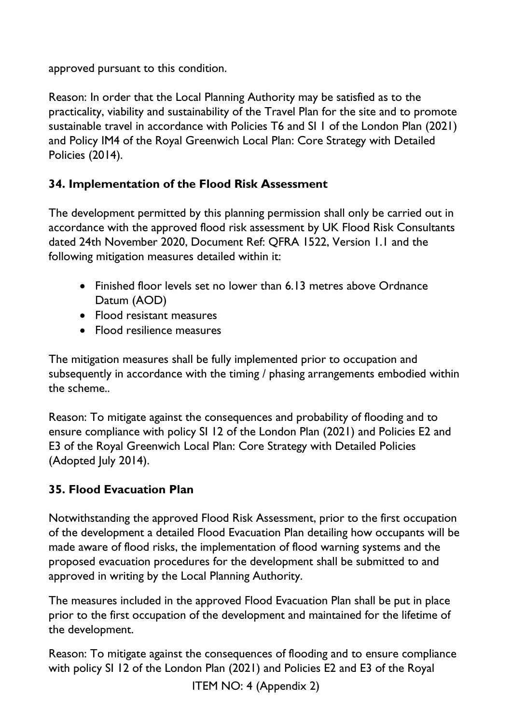approved pursuant to this condition.

Reason: In order that the Local Planning Authority may be satisfied as to the practicality, viability and sustainability of the Travel Plan for the site and to promote sustainable travel in accordance with Policies T6 and SI 1 of the London Plan (2021) and Policy IM4 of the Royal Greenwich Local Plan: Core Strategy with Detailed Policies (2014).

## **34. Implementation of the Flood Risk Assessment**

The development permitted by this planning permission shall only be carried out in accordance with the approved flood risk assessment by UK Flood Risk Consultants dated 24th November 2020, Document Ref: QFRA 1522, Version 1.1 and the following mitigation measures detailed within it:

- Finished floor levels set no lower than 6.13 metres above Ordnance Datum (AOD)
- Flood resistant measures
- Flood resilience measures

The mitigation measures shall be fully implemented prior to occupation and subsequently in accordance with the timing / phasing arrangements embodied within the scheme..

Reason: To mitigate against the consequences and probability of flooding and to ensure compliance with policy SI 12 of the London Plan (2021) and Policies E2 and E3 of the Royal Greenwich Local Plan: Core Strategy with Detailed Policies (Adopted July 2014).

# **35. Flood Evacuation Plan**

Notwithstanding the approved Flood Risk Assessment, prior to the first occupation of the development a detailed Flood Evacuation Plan detailing how occupants will be made aware of flood risks, the implementation of flood warning systems and the proposed evacuation procedures for the development shall be submitted to and approved in writing by the Local Planning Authority.

The measures included in the approved Flood Evacuation Plan shall be put in place prior to the first occupation of the development and maintained for the lifetime of the development.

Reason: To mitigate against the consequences of flooding and to ensure compliance with policy SI 12 of the London Plan (2021) and Policies E2 and E3 of the Royal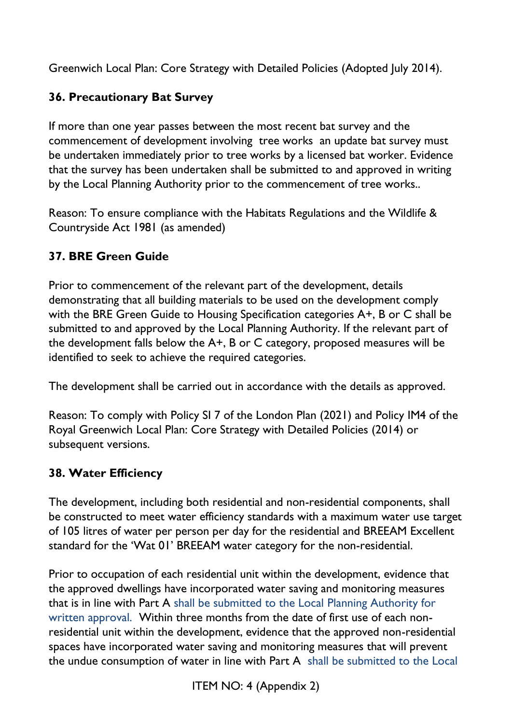Greenwich Local Plan: Core Strategy with Detailed Policies (Adopted July 2014).

# **36. Precautionary Bat Survey**

If more than one year passes between the most recent bat survey and the commencement of development involving tree works an update bat survey must be undertaken immediately prior to tree works by a licensed bat worker. Evidence that the survey has been undertaken shall be submitted to and approved in writing by the Local Planning Authority prior to the commencement of tree works..

Reason: To ensure compliance with the Habitats Regulations and the Wildlife & Countryside Act 1981 (as amended)

# **37. BRE Green Guide**

Prior to commencement of the relevant part of the development, details demonstrating that all building materials to be used on the development comply with the BRE Green Guide to Housing Specification categories A+, B or C shall be submitted to and approved by the Local Planning Authority. If the relevant part of the development falls below the A+, B or C category, proposed measures will be identified to seek to achieve the required categories.

The development shall be carried out in accordance with the details as approved.

Reason: To comply with Policy SI 7 of the London Plan (2021) and Policy IM4 of the Royal Greenwich Local Plan: Core Strategy with Detailed Policies (2014) or subsequent versions.

### **38. Water Efficiency**

The development, including both residential and non-residential components, shall be constructed to meet water efficiency standards with a maximum water use target of 105 litres of water per person per day for the residential and BREEAM Excellent standard for the 'Wat 01' BREEAM water category for the non-residential.

Prior to occupation of each residential unit within the development, evidence that the approved dwellings have incorporated water saving and monitoring measures that is in line with Part A shall be submitted to the Local Planning Authority for written approval. Within three months from the date of first use of each nonresidential unit within the development, evidence that the approved non-residential spaces have incorporated water saving and monitoring measures that will prevent the undue consumption of water in line with Part A shall be submitted to the Local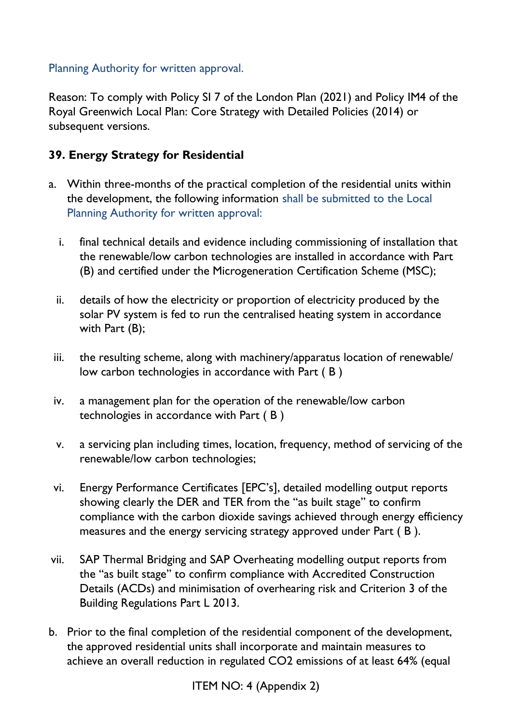### Planning Authority for written approval.

Reason: To comply with Policy SI 7 of the London Plan (2021) and Policy IM4 of the Royal Greenwich Local Plan: Core Strategy with Detailed Policies (2014) or subsequent versions.

### **39. Energy Strategy for Residential**

- a. Within three-months of the practical completion of the residential units within the development, the following information shall be submitted to the Local Planning Authority for written approval:
	- i. final technical details and evidence including commissioning of installation that the renewable/low carbon technologies are installed in accordance with Part (B) and certified under the Microgeneration Certification Scheme (MSC);
	- ii. details of how the electricity or proportion of electricity produced by the solar PV system is fed to run the centralised heating system in accordance with Part (B);
	- iii. the resulting scheme, along with machinery/apparatus location of renewable/ low carbon technologies in accordance with Part ( B )
	- iv. a management plan for the operation of the renewable/low carbon technologies in accordance with Part ( B )
	- v. a servicing plan including times, location, frequency, method of servicing of the renewable/low carbon technologies;
	- vi. Energy Performance Certificates [EPC's], detailed modelling output reports showing clearly the DER and TER from the "as built stage" to confirm compliance with the carbon dioxide savings achieved through energy efficiency measures and the energy servicing strategy approved under Part ( B ).
- vii. SAP Thermal Bridging and SAP Overheating modelling output reports from the "as built stage" to confirm compliance with Accredited Construction Details (ACDs) and minimisation of overhearing risk and Criterion 3 of the Building Regulations Part L 2013.
- b. Prior to the final completion of the residential component of the development, the approved residential units shall incorporate and maintain measures to achieve an overall reduction in regulated CO2 emissions of at least 64% (equal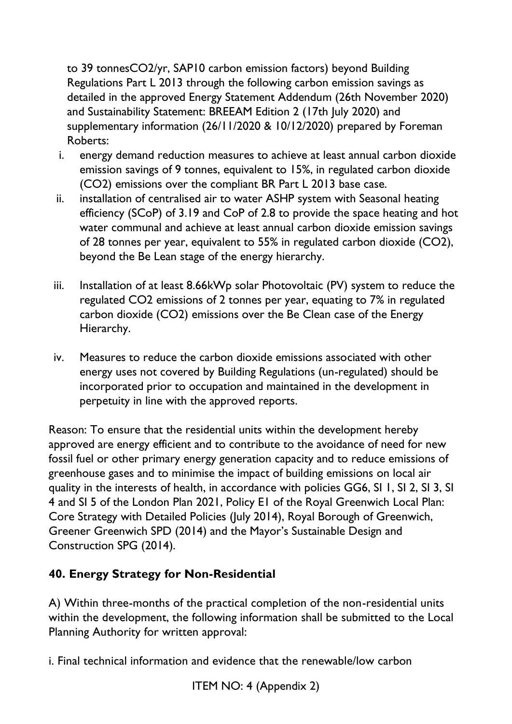to 39 tonnesCO2/yr, SAP10 carbon emission factors) beyond Building Regulations Part L 2013 through the following carbon emission savings as detailed in the approved Energy Statement Addendum (26th November 2020) and Sustainability Statement: BREEAM Edition 2 (17th July 2020) and supplementary information (26/11/2020 & 10/12/2020) prepared by Foreman Roberts:

- i. energy demand reduction measures to achieve at least annual carbon dioxide emission savings of 9 tonnes, equivalent to 15%, in regulated carbon dioxide (CO2) emissions over the compliant BR Part L 2013 base case.
- ii. installation of centralised air to water ASHP system with Seasonal heating efficiency (SCoP) of 3.19 and CoP of 2.8 to provide the space heating and hot water communal and achieve at least annual carbon dioxide emission savings of 28 tonnes per year, equivalent to 55% in regulated carbon dioxide (CO2), beyond the Be Lean stage of the energy hierarchy.
- iii. Installation of at least 8.66kWp solar Photovoltaic (PV) system to reduce the regulated CO2 emissions of 2 tonnes per year, equating to 7% in regulated carbon dioxide (CO2) emissions over the Be Clean case of the Energy Hierarchy.
- iv. Measures to reduce the carbon dioxide emissions associated with other energy uses not covered by Building Regulations (un-regulated) should be incorporated prior to occupation and maintained in the development in perpetuity in line with the approved reports.

Reason: To ensure that the residential units within the development hereby approved are energy efficient and to contribute to the avoidance of need for new fossil fuel or other primary energy generation capacity and to reduce emissions of greenhouse gases and to minimise the impact of building emissions on local air quality in the interests of health, in accordance with policies GG6, SI 1, SI 2, SI 3, SI 4 and SI 5 of the London Plan 2021, Policy E1 of the Royal Greenwich Local Plan: Core Strategy with Detailed Policies (July 2014), Royal Borough of Greenwich, Greener Greenwich SPD (2014) and the Mayor's Sustainable Design and Construction SPG (2014).

# **40. Energy Strategy for Non-Residential**

A) Within three-months of the practical completion of the non-residential units within the development, the following information shall be submitted to the Local Planning Authority for written approval:

i. Final technical information and evidence that the renewable/low carbon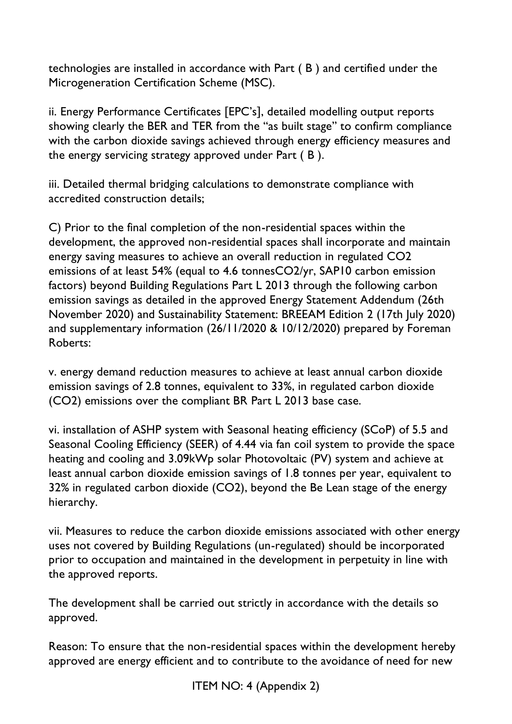technologies are installed in accordance with Part ( B ) and certified under the Microgeneration Certification Scheme (MSC).

ii. Energy Performance Certificates [EPC's], detailed modelling output reports showing clearly the BER and TER from the "as built stage" to confirm compliance with the carbon dioxide savings achieved through energy efficiency measures and the energy servicing strategy approved under Part ( B ).

iii. Detailed thermal bridging calculations to demonstrate compliance with accredited construction details;

C) Prior to the final completion of the non-residential spaces within the development, the approved non-residential spaces shall incorporate and maintain energy saving measures to achieve an overall reduction in regulated CO2 emissions of at least 54% (equal to 4.6 tonnesCO2/yr, SAP10 carbon emission factors) beyond Building Regulations Part L 2013 through the following carbon emission savings as detailed in the approved Energy Statement Addendum (26th November 2020) and Sustainability Statement: BREEAM Edition 2 (17th July 2020) and supplementary information (26/11/2020 & 10/12/2020) prepared by Foreman Roberts:

v. energy demand reduction measures to achieve at least annual carbon dioxide emission savings of 2.8 tonnes, equivalent to 33%, in regulated carbon dioxide (CO2) emissions over the compliant BR Part L 2013 base case.

vi. installation of ASHP system with Seasonal heating efficiency (SCoP) of 5.5 and Seasonal Cooling Efficiency (SEER) of 4.44 via fan coil system to provide the space heating and cooling and 3.09kWp solar Photovoltaic (PV) system and achieve at least annual carbon dioxide emission savings of 1.8 tonnes per year, equivalent to 32% in regulated carbon dioxide (CO2), beyond the Be Lean stage of the energy hierarchy.

vii. Measures to reduce the carbon dioxide emissions associated with other energy uses not covered by Building Regulations (un-regulated) should be incorporated prior to occupation and maintained in the development in perpetuity in line with the approved reports.

The development shall be carried out strictly in accordance with the details so approved.

Reason: To ensure that the non-residential spaces within the development hereby approved are energy efficient and to contribute to the avoidance of need for new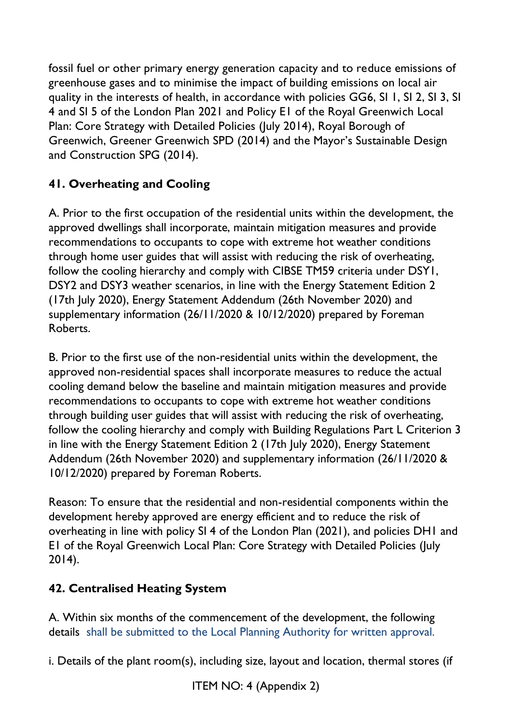fossil fuel or other primary energy generation capacity and to reduce emissions of greenhouse gases and to minimise the impact of building emissions on local air quality in the interests of health, in accordance with policies GG6, SI 1, SI 2, SI 3, SI 4 and SI 5 of the London Plan 2021 and Policy E1 of the Royal Greenwich Local Plan: Core Strategy with Detailed Policies (July 2014), Royal Borough of Greenwich, Greener Greenwich SPD (2014) and the Mayor's Sustainable Design and Construction SPG (2014).

# **41. Overheating and Cooling**

A. Prior to the first occupation of the residential units within the development, the approved dwellings shall incorporate, maintain mitigation measures and provide recommendations to occupants to cope with extreme hot weather conditions through home user guides that will assist with reducing the risk of overheating, follow the cooling hierarchy and comply with CIBSE TM59 criteria under DSY1, DSY2 and DSY3 weather scenarios, in line with the Energy Statement Edition 2 (17th July 2020), Energy Statement Addendum (26th November 2020) and supplementary information (26/11/2020 & 10/12/2020) prepared by Foreman Roberts.

B. Prior to the first use of the non-residential units within the development, the approved non-residential spaces shall incorporate measures to reduce the actual cooling demand below the baseline and maintain mitigation measures and provide recommendations to occupants to cope with extreme hot weather conditions through building user guides that will assist with reducing the risk of overheating, follow the cooling hierarchy and comply with Building Regulations Part L Criterion 3 in line with the Energy Statement Edition 2 (17th July 2020), Energy Statement Addendum (26th November 2020) and supplementary information (26/11/2020 & 10/12/2020) prepared by Foreman Roberts.

Reason: To ensure that the residential and non-residential components within the development hereby approved are energy efficient and to reduce the risk of overheating in line with policy SI 4 of the London Plan (2021), and policies DH1 and E1 of the Royal Greenwich Local Plan: Core Strategy with Detailed Policies (July 2014).

# **42. Centralised Heating System**

A. Within six months of the commencement of the development, the following details shall be submitted to the Local Planning Authority for written approval.

i. Details of the plant room(s), including size, layout and location, thermal stores (if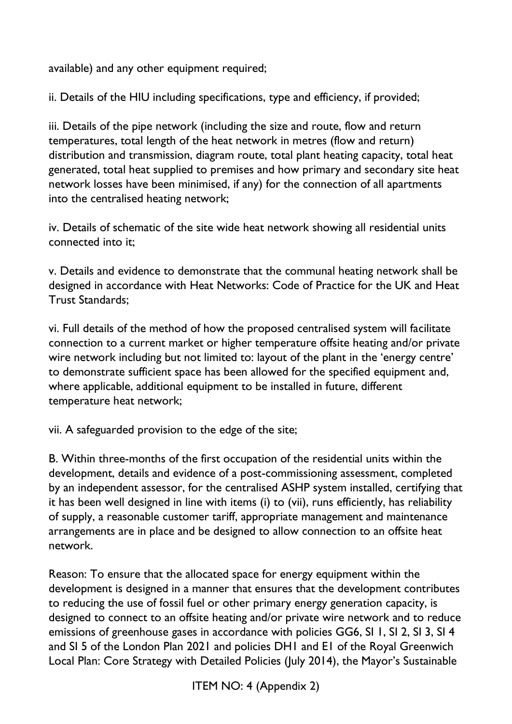available) and any other equipment required;

ii. Details of the HIU including specifications, type and efficiency, if provided;

iii. Details of the pipe network (including the size and route, flow and return temperatures, total length of the heat network in metres (flow and return) distribution and transmission, diagram route, total plant heating capacity, total heat generated, total heat supplied to premises and how primary and secondary site heat network losses have been minimised, if any) for the connection of all apartments into the centralised heating network;

iv. Details of schematic of the site wide heat network showing all residential units connected into it;

v. Details and evidence to demonstrate that the communal heating network shall be designed in accordance with Heat Networks: Code of Practice for the UK and Heat Trust Standards;

vi. Full details of the method of how the proposed centralised system will facilitate connection to a current market or higher temperature offsite heating and/or private wire network including but not limited to: layout of the plant in the 'energy centre' to demonstrate sufficient space has been allowed for the specified equipment and, where applicable, additional equipment to be installed in future, different temperature heat network;

vii. A safeguarded provision to the edge of the site;

B. Within three-months of the first occupation of the residential units within the development, details and evidence of a post-commissioning assessment, completed by an independent assessor, for the centralised ASHP system installed, certifying that it has been well designed in line with items (i) to (vii), runs efficiently, has reliability of supply, a reasonable customer tariff, appropriate management and maintenance arrangements are in place and be designed to allow connection to an offsite heat network.

Reason: To ensure that the allocated space for energy equipment within the development is designed in a manner that ensures that the development contributes to reducing the use of fossil fuel or other primary energy generation capacity, is designed to connect to an offsite heating and/or private wire network and to reduce emissions of greenhouse gases in accordance with policies GG6, SI 1, SI 2, SI 3, SI 4 and SI 5 of the London Plan 2021 and policies DH1 and E1 of the Royal Greenwich Local Plan: Core Strategy with Detailed Policies (July 2014), the Mayor's Sustainable

ITEM NO: 4 (Appendix 2)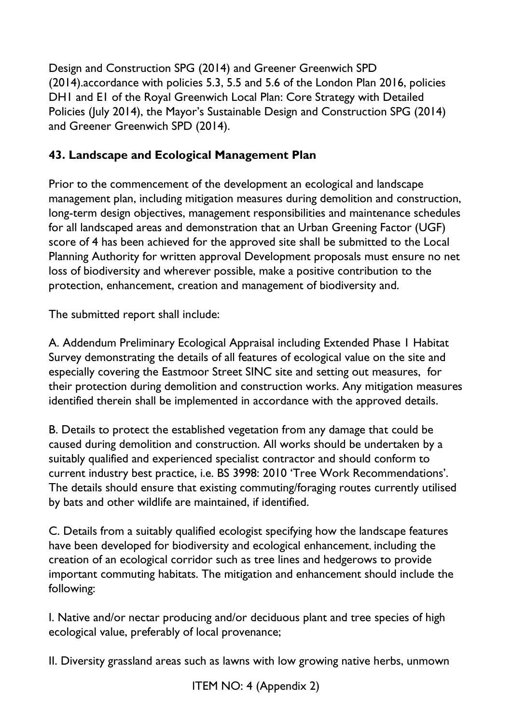Design and Construction SPG (2014) and Greener Greenwich SPD (2014).accordance with policies 5.3, 5.5 and 5.6 of the London Plan 2016, policies DH1 and E1 of the Royal Greenwich Local Plan: Core Strategy with Detailed Policies (July 2014), the Mayor's Sustainable Design and Construction SPG (2014) and Greener Greenwich SPD (2014).

## **43. Landscape and Ecological Management Plan**

Prior to the commencement of the development an ecological and landscape management plan, including mitigation measures during demolition and construction, long-term design objectives, management responsibilities and maintenance schedules for all landscaped areas and demonstration that an Urban Greening Factor (UGF) score of 4 has been achieved for the approved site shall be submitted to the Local Planning Authority for written approval Development proposals must ensure no net loss of biodiversity and wherever possible, make a positive contribution to the protection, enhancement, creation and management of biodiversity and.

The submitted report shall include:

A. Addendum Preliminary Ecological Appraisal including Extended Phase 1 Habitat Survey demonstrating the details of all features of ecological value on the site and especially covering the Eastmoor Street SINC site and setting out measures, for their protection during demolition and construction works. Any mitigation measures identified therein shall be implemented in accordance with the approved details.

B. Details to protect the established vegetation from any damage that could be caused during demolition and construction. All works should be undertaken by a suitably qualified and experienced specialist contractor and should conform to current industry best practice, i.e. BS 3998: 2010 'Tree Work Recommendations'. The details should ensure that existing commuting/foraging routes currently utilised by bats and other wildlife are maintained, if identified.

C. Details from a suitably qualified ecologist specifying how the landscape features have been developed for biodiversity and ecological enhancement, including the creation of an ecological corridor such as tree lines and hedgerows to provide important commuting habitats. The mitigation and enhancement should include the following:

I. Native and/or nectar producing and/or deciduous plant and tree species of high ecological value, preferably of local provenance;

II. Diversity grassland areas such as lawns with low growing native herbs, unmown

ITEM NO: 4 (Appendix 2)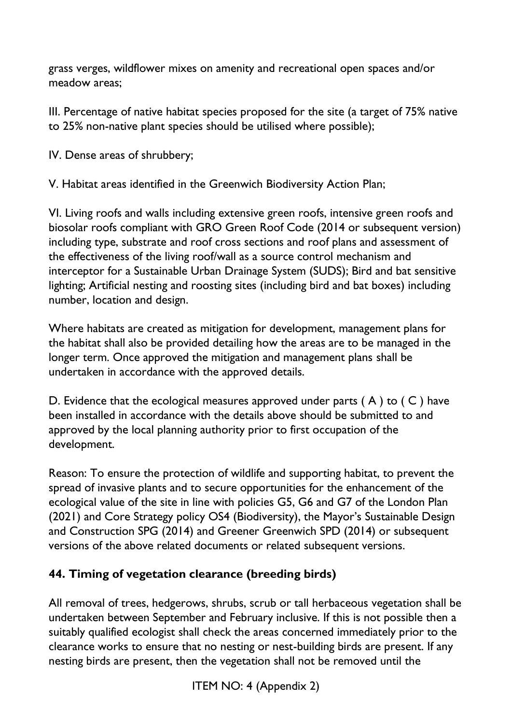grass verges, wildflower mixes on amenity and recreational open spaces and/or meadow areas;

III. Percentage of native habitat species proposed for the site (a target of 75% native to 25% non-native plant species should be utilised where possible);

IV. Dense areas of shrubbery;

V. Habitat areas identified in the Greenwich Biodiversity Action Plan;

VI. Living roofs and walls including extensive green roofs, intensive green roofs and biosolar roofs compliant with GRO Green Roof Code (2014 or subsequent version) including type, substrate and roof cross sections and roof plans and assessment of the effectiveness of the living roof/wall as a source control mechanism and interceptor for a Sustainable Urban Drainage System (SUDS); Bird and bat sensitive lighting; Artificial nesting and roosting sites (including bird and bat boxes) including number, location and design.

Where habitats are created as mitigation for development, management plans for the habitat shall also be provided detailing how the areas are to be managed in the longer term. Once approved the mitigation and management plans shall be undertaken in accordance with the approved details.

D. Evidence that the ecological measures approved under parts  $(A)$  to  $(C)$  have been installed in accordance with the details above should be submitted to and approved by the local planning authority prior to first occupation of the development.

Reason: To ensure the protection of wildlife and supporting habitat, to prevent the spread of invasive plants and to secure opportunities for the enhancement of the ecological value of the site in line with policies G5, G6 and G7 of the London Plan (2021) and Core Strategy policy OS4 (Biodiversity), the Mayor's Sustainable Design and Construction SPG (2014) and Greener Greenwich SPD (2014) or subsequent versions of the above related documents or related subsequent versions.

### **44. Timing of vegetation clearance (breeding birds)**

All removal of trees, hedgerows, shrubs, scrub or tall herbaceous vegetation shall be undertaken between September and February inclusive. If this is not possible then a suitably qualified ecologist shall check the areas concerned immediately prior to the clearance works to ensure that no nesting or nest-building birds are present. If any nesting birds are present, then the vegetation shall not be removed until the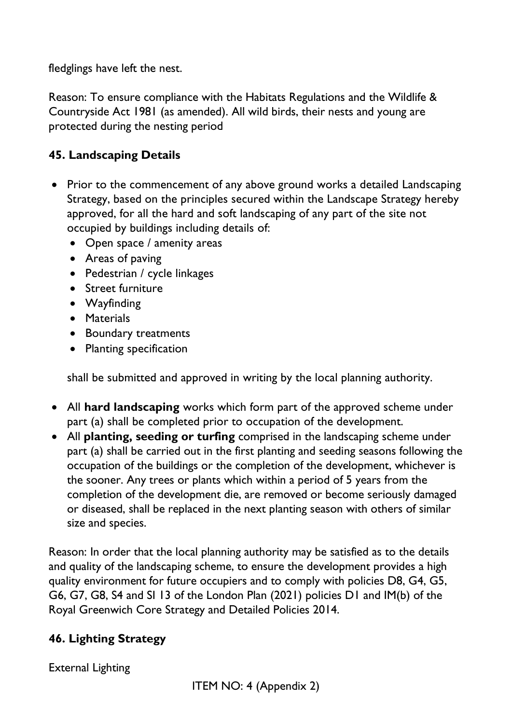fledglings have left the nest.

Reason: To ensure compliance with the Habitats Regulations and the Wildlife & Countryside Act 1981 (as amended). All wild birds, their nests and young are protected during the nesting period

### **45. Landscaping Details**

- Prior to the commencement of any above ground works a detailed Landscaping Strategy, based on the principles secured within the Landscape Strategy hereby approved, for all the hard and soft landscaping of any part of the site not occupied by buildings including details of:
	- Open space / amenity areas
	- Areas of paving
	- Pedestrian / cycle linkages
	- Street furniture
	- Wayfinding
	- Materials
	- Boundary treatments
	- Planting specification

shall be submitted and approved in writing by the local planning authority.

- All **hard landscaping** works which form part of the approved scheme under part (a) shall be completed prior to occupation of the development.
- All **planting, seeding or turfing** comprised in the landscaping scheme under part (a) shall be carried out in the first planting and seeding seasons following the occupation of the buildings or the completion of the development, whichever is the sooner. Any trees or plants which within a period of 5 years from the completion of the development die, are removed or become seriously damaged or diseased, shall be replaced in the next planting season with others of similar size and species.

Reason: In order that the local planning authority may be satisfied as to the details and quality of the landscaping scheme, to ensure the development provides a high quality environment for future occupiers and to comply with policies D8, G4, G5, G6, G7, G8, S4 and SI 13 of the London Plan (2021) policies D1 and IM(b) of the Royal Greenwich Core Strategy and Detailed Policies 2014.

# **46. Lighting Strategy**

External Lighting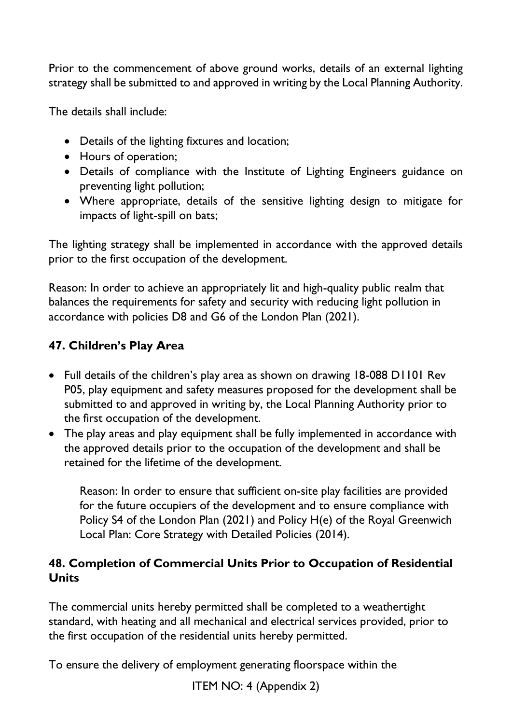Prior to the commencement of above ground works, details of an external lighting strategy shall be submitted to and approved in writing by the Local Planning Authority.

The details shall include:

- Details of the lighting fixtures and location;
- Hours of operation;
- Details of compliance with the Institute of Lighting Engineers guidance on preventing light pollution;
- Where appropriate, details of the sensitive lighting design to mitigate for impacts of light-spill on bats;

The lighting strategy shall be implemented in accordance with the approved details prior to the first occupation of the development.

Reason: In order to achieve an appropriately lit and high-quality public realm that balances the requirements for safety and security with reducing light pollution in accordance with policies D8 and G6 of the London Plan (2021).

### **47. Children's Play Area**

- Full details of the children's play area as shown on drawing 18-088 D1101 Rev P05, play equipment and safety measures proposed for the development shall be submitted to and approved in writing by, the Local Planning Authority prior to the first occupation of the development.
- The play areas and play equipment shall be fully implemented in accordance with the approved details prior to the occupation of the development and shall be retained for the lifetime of the development.

Reason: In order to ensure that sufficient on-site play facilities are provided for the future occupiers of the development and to ensure compliance with Policy S4 of the London Plan (2021) and Policy H(e) of the Royal Greenwich Local Plan: Core Strategy with Detailed Policies (2014).

### **48. Completion of Commercial Units Prior to Occupation of Residential Units**

The commercial units hereby permitted shall be completed to a weathertight standard, with heating and all mechanical and electrical services provided, prior to the first occupation of the residential units hereby permitted.

To ensure the delivery of employment generating floorspace within the

ITEM NO: 4 (Appendix 2)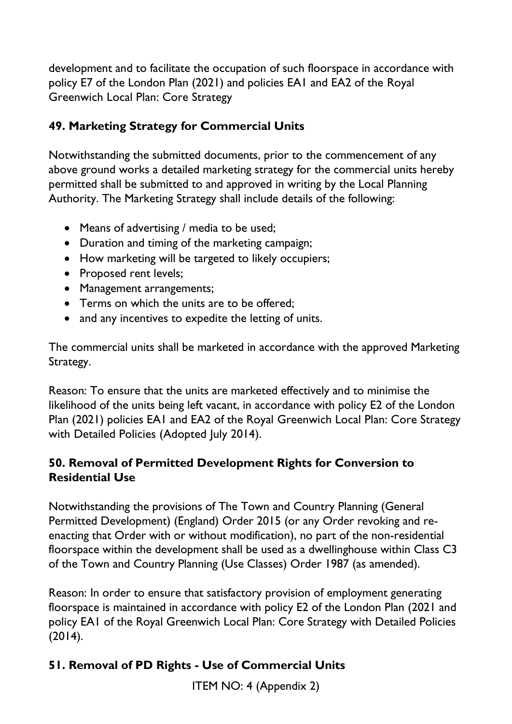development and to facilitate the occupation of such floorspace in accordance with policy E7 of the London Plan (2021) and policies EA1 and EA2 of the Royal Greenwich Local Plan: Core Strategy

## **49. Marketing Strategy for Commercial Units**

Notwithstanding the submitted documents, prior to the commencement of any above ground works a detailed marketing strategy for the commercial units hereby permitted shall be submitted to and approved in writing by the Local Planning Authority. The Marketing Strategy shall include details of the following:

- Means of advertising / media to be used;
- Duration and timing of the marketing campaign;
- How marketing will be targeted to likely occupiers;
- Proposed rent levels;
- Management arrangements;
- Terms on which the units are to be offered;
- and any incentives to expedite the letting of units.

The commercial units shall be marketed in accordance with the approved Marketing Strategy.

Reason: To ensure that the units are marketed effectively and to minimise the likelihood of the units being left vacant, in accordance with policy E2 of the London Plan (2021) policies EA1 and EA2 of the Royal Greenwich Local Plan: Core Strategy with Detailed Policies (Adopted July 2014).

### **50. Removal of Permitted Development Rights for Conversion to Residential Use**

Notwithstanding the provisions of The Town and Country Planning (General Permitted Development) (England) Order 2015 (or any Order revoking and reenacting that Order with or without modification), no part of the non-residential floorspace within the development shall be used as a dwellinghouse within Class C3 of the Town and Country Planning (Use Classes) Order 1987 (as amended).

Reason: In order to ensure that satisfactory provision of employment generating floorspace is maintained in accordance with policy E2 of the London Plan (2021 and policy EA1 of the Royal Greenwich Local Plan: Core Strategy with Detailed Policies (2014).

# **51. Removal of PD Rights - Use of Commercial Units**

ITEM NO: 4 (Appendix 2)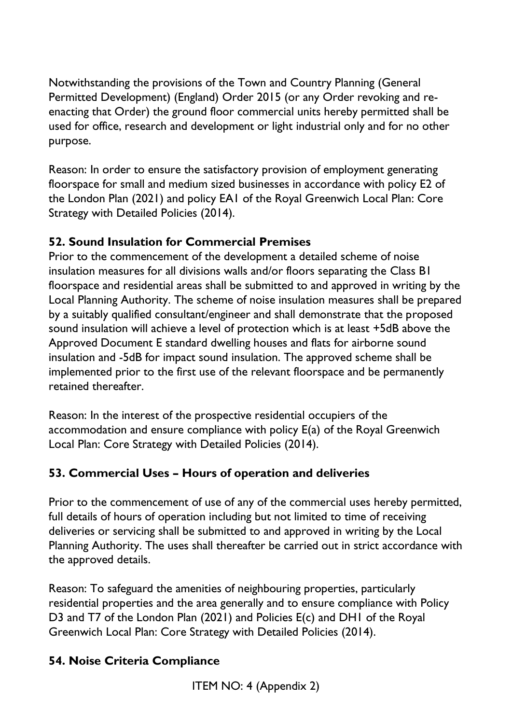Notwithstanding the provisions of the Town and Country Planning (General Permitted Development) (England) Order 2015 (or any Order revoking and reenacting that Order) the ground floor commercial units hereby permitted shall be used for office, research and development or light industrial only and for no other purpose.

Reason: In order to ensure the satisfactory provision of employment generating floorspace for small and medium sized businesses in accordance with policy E2 of the London Plan (2021) and policy EA1 of the Royal Greenwich Local Plan: Core Strategy with Detailed Policies (2014).

# **52. Sound Insulation for Commercial Premises**

Prior to the commencement of the development a detailed scheme of noise insulation measures for all divisions walls and/or floors separating the Class B1 floorspace and residential areas shall be submitted to and approved in writing by the Local Planning Authority. The scheme of noise insulation measures shall be prepared by a suitably qualified consultant/engineer and shall demonstrate that the proposed sound insulation will achieve a level of protection which is at least +5dB above the Approved Document E standard dwelling houses and flats for airborne sound insulation and -5dB for impact sound insulation. The approved scheme shall be implemented prior to the first use of the relevant floorspace and be permanently retained thereafter.

Reason: In the interest of the prospective residential occupiers of the accommodation and ensure compliance with policy E(a) of the Royal Greenwich Local Plan: Core Strategy with Detailed Policies (2014).

# **53. Commercial Uses – Hours of operation and deliveries**

Prior to the commencement of use of any of the commercial uses hereby permitted, full details of hours of operation including but not limited to time of receiving deliveries or servicing shall be submitted to and approved in writing by the Local Planning Authority. The uses shall thereafter be carried out in strict accordance with the approved details.

Reason: To safeguard the amenities of neighbouring properties, particularly residential properties and the area generally and to ensure compliance with Policy D3 and T7 of the London Plan (2021) and Policies E(c) and DH1 of the Royal Greenwich Local Plan: Core Strategy with Detailed Policies (2014).

# **54. Noise Criteria Compliance**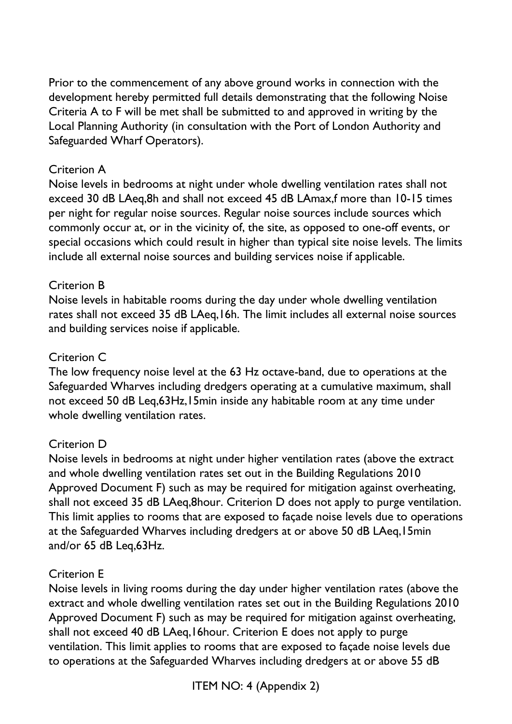Prior to the commencement of any above ground works in connection with the development hereby permitted full details demonstrating that the following Noise Criteria A to F will be met shall be submitted to and approved in writing by the Local Planning Authority (in consultation with the Port of London Authority and Safeguarded Wharf Operators).

### Criterion A

Noise levels in bedrooms at night under whole dwelling ventilation rates shall not exceed 30 dB LAeq,8h and shall not exceed 45 dB LAmax,f more than 10-15 times per night for regular noise sources. Regular noise sources include sources which commonly occur at, or in the vicinity of, the site, as opposed to one-off events, or special occasions which could result in higher than typical site noise levels. The limits include all external noise sources and building services noise if applicable.

### Criterion B

Noise levels in habitable rooms during the day under whole dwelling ventilation rates shall not exceed 35 dB LAeq,16h. The limit includes all external noise sources and building services noise if applicable.

### Criterion C

The low frequency noise level at the 63 Hz octave-band, due to operations at the Safeguarded Wharves including dredgers operating at a cumulative maximum, shall not exceed 50 dB Leq,63Hz,15min inside any habitable room at any time under whole dwelling ventilation rates.

### Criterion D

Noise levels in bedrooms at night under higher ventilation rates (above the extract and whole dwelling ventilation rates set out in the Building Regulations 2010 Approved Document F) such as may be required for mitigation against overheating, shall not exceed 35 dB LAeq,8hour. Criterion D does not apply to purge ventilation. This limit applies to rooms that are exposed to façade noise levels due to operations at the Safeguarded Wharves including dredgers at or above 50 dB LAeq,15min and/or 65 dB Leq,63Hz.

### Criterion E

Noise levels in living rooms during the day under higher ventilation rates (above the extract and whole dwelling ventilation rates set out in the Building Regulations 2010 Approved Document F) such as may be required for mitigation against overheating, shall not exceed 40 dB LAeq,16hour. Criterion E does not apply to purge ventilation. This limit applies to rooms that are exposed to façade noise levels due to operations at the Safeguarded Wharves including dredgers at or above 55 dB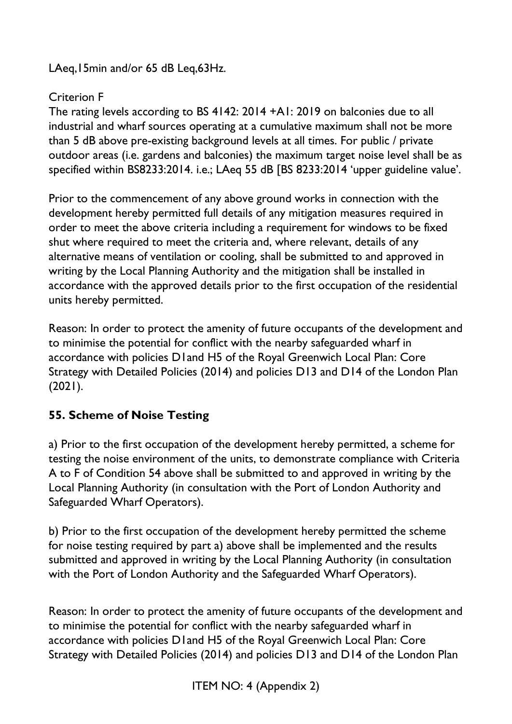LAeq,15min and/or 65 dB Leq,63Hz.

## Criterion F

The rating levels according to BS 4142: 2014 +A1: 2019 on balconies due to all industrial and wharf sources operating at a cumulative maximum shall not be more than 5 dB above pre-existing background levels at all times. For public / private outdoor areas (i.e. gardens and balconies) the maximum target noise level shall be as specified within BS8233:2014. i.e.; LAeq 55 dB [BS 8233:2014 'upper guideline value'.

Prior to the commencement of any above ground works in connection with the development hereby permitted full details of any mitigation measures required in order to meet the above criteria including a requirement for windows to be fixed shut where required to meet the criteria and, where relevant, details of any alternative means of ventilation or cooling, shall be submitted to and approved in writing by the Local Planning Authority and the mitigation shall be installed in accordance with the approved details prior to the first occupation of the residential units hereby permitted.

Reason: In order to protect the amenity of future occupants of the development and to minimise the potential for conflict with the nearby safeguarded wharf in accordance with policies D1and H5 of the Royal Greenwich Local Plan: Core Strategy with Detailed Policies (2014) and policies D13 and D14 of the London Plan (2021).

# **55. Scheme of Noise Testing**

a) Prior to the first occupation of the development hereby permitted, a scheme for testing the noise environment of the units, to demonstrate compliance with Criteria A to F of Condition 54 above shall be submitted to and approved in writing by the Local Planning Authority (in consultation with the Port of London Authority and Safeguarded Wharf Operators).

b) Prior to the first occupation of the development hereby permitted the scheme for noise testing required by part a) above shall be implemented and the results submitted and approved in writing by the Local Planning Authority (in consultation with the Port of London Authority and the Safeguarded Wharf Operators).

Reason: In order to protect the amenity of future occupants of the development and to minimise the potential for conflict with the nearby safeguarded wharf in accordance with policies D1and H5 of the Royal Greenwich Local Plan: Core Strategy with Detailed Policies (2014) and policies D13 and D14 of the London Plan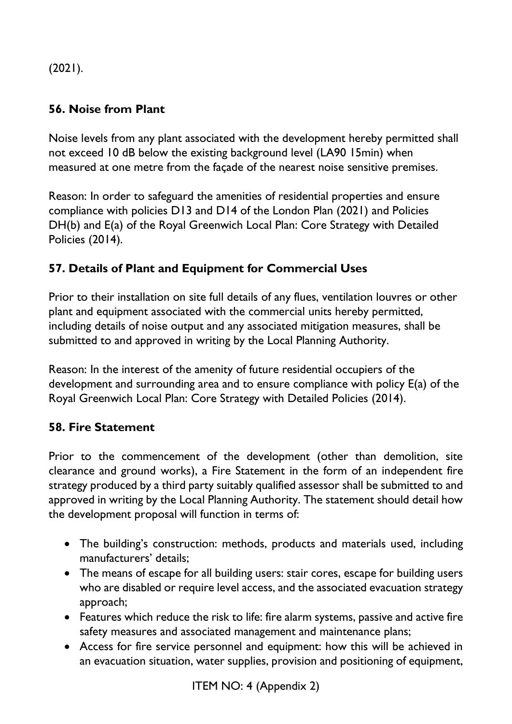$(2021).$ 

# **56. Noise from Plant**

Noise levels from any plant associated with the development hereby permitted shall not exceed 10 dB below the existing background level (LA90 15min) when measured at one metre from the façade of the nearest noise sensitive premises.

Reason: In order to safeguard the amenities of residential properties and ensure compliance with policies D13 and D14 of the London Plan (2021) and Policies DH(b) and E(a) of the Royal Greenwich Local Plan: Core Strategy with Detailed Policies (2014).

# **57. Details of Plant and Equipment for Commercial Uses**

Prior to their installation on site full details of any flues, ventilation louvres or other plant and equipment associated with the commercial units hereby permitted, including details of noise output and any associated mitigation measures, shall be submitted to and approved in writing by the Local Planning Authority.

Reason: In the interest of the amenity of future residential occupiers of the development and surrounding area and to ensure compliance with policy E(a) of the Royal Greenwich Local Plan: Core Strategy with Detailed Policies (2014).

### **58. Fire Statement**

Prior to the commencement of the development (other than demolition, site clearance and ground works), a Fire Statement in the form of an independent fire strategy produced by a third party suitably qualified assessor shall be submitted to and approved in writing by the Local Planning Authority. The statement should detail how the development proposal will function in terms of:

- The building's construction: methods, products and materials used, including manufacturers' details;
- The means of escape for all building users: stair cores, escape for building users who are disabled or require level access, and the associated evacuation strategy approach;
- Features which reduce the risk to life: fire alarm systems, passive and active fire safety measures and associated management and maintenance plans;
- Access for fire service personnel and equipment: how this will be achieved in an evacuation situation, water supplies, provision and positioning of equipment,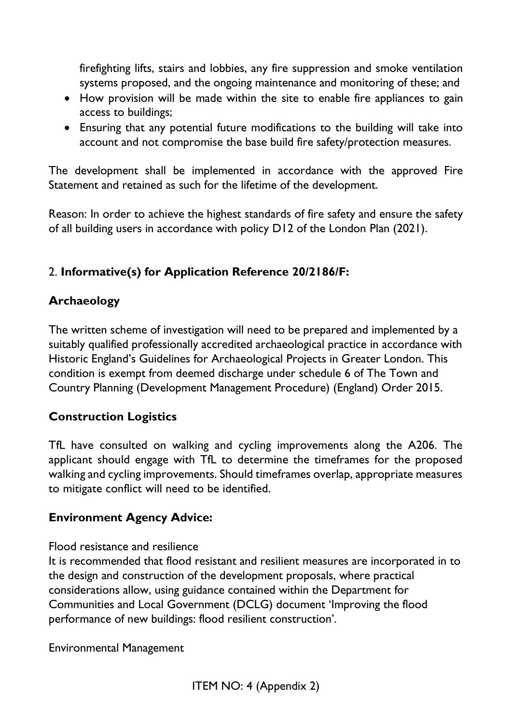firefighting lifts, stairs and lobbies, any fire suppression and smoke ventilation systems proposed, and the ongoing maintenance and monitoring of these; and

- How provision will be made within the site to enable fire appliances to gain access to buildings;
- Ensuring that any potential future modifications to the building will take into account and not compromise the base build fire safety/protection measures.

The development shall be implemented in accordance with the approved Fire Statement and retained as such for the lifetime of the development.

Reason: In order to achieve the highest standards of fire safety and ensure the safety of all building users in accordance with policy D12 of the London Plan (2021).

### 2. **Informative(s) for Application Reference 20/2186/F:**

### **Archaeology**

The written scheme of investigation will need to be prepared and implemented by a suitably qualified professionally accredited archaeological practice in accordance with Historic England's Guidelines for Archaeological Projects in Greater London. This condition is exempt from deemed discharge under schedule 6 of The Town and Country Planning (Development Management Procedure) (England) Order 2015.

### **Construction Logistics**

TfL have consulted on walking and cycling improvements along the A206. The applicant should engage with TfL to determine the timeframes for the proposed walking and cycling improvements. Should timeframes overlap, appropriate measures to mitigate conflict will need to be identified.

### **Environment Agency Advice:**

### Flood resistance and resilience

It is recommended that flood resistant and resilient measures are incorporated in to the design and construction of the development proposals, where practical considerations allow, using guidance contained within the Department for Communities and Local Government (DCLG) document 'Improving the flood performance of new buildings: flood resilient construction'.

Environmental Management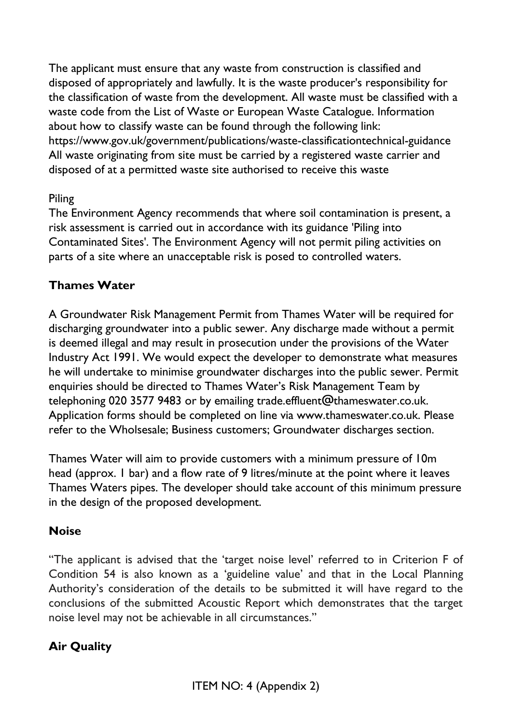The applicant must ensure that any waste from construction is classified and disposed of appropriately and lawfully. It is the waste producer's responsibility for the classification of waste from the development. All waste must be classified with a waste code from the List of Waste or European Waste Catalogue. Information about how to classify waste can be found through the following link: https://www.gov.uk/government/publications/waste-classificationtechnical-guidance All waste originating from site must be carried by a registered waste carrier and disposed of at a permitted waste site authorised to receive this waste

### Piling

The Environment Agency recommends that where soil contamination is present, a risk assessment is carried out in accordance with its guidance 'Piling into Contaminated Sites'. The Environment Agency will not permit piling activities on parts of a site where an unacceptable risk is posed to controlled waters.

### **Thames Water**

A Groundwater Risk Management Permit from Thames Water will be required for discharging groundwater into a public sewer. Any discharge made without a permit is deemed illegal and may result in prosecution under the provisions of the Water Industry Act 1991. We would expect the developer to demonstrate what measures he will undertake to minimise groundwater discharges into the public sewer. Permit enquiries should be directed to Thames Water's Risk Management Team by telephoning 020 3577 9483 or by emailing trade.effluent@thameswater.co.uk. Application forms should be completed on line via www.thameswater.co.uk. Please refer to the Wholsesale; Business customers; Groundwater discharges section.

Thames Water will aim to provide customers with a minimum pressure of 10m head (approx. I bar) and a flow rate of 9 litres/minute at the point where it leaves Thames Waters pipes. The developer should take account of this minimum pressure in the design of the proposed development.

### **Noise**

"The applicant is advised that the 'target noise level' referred to in Criterion F of Condition 54 is also known as a 'guideline value' and that in the Local Planning Authority's consideration of the details to be submitted it will have regard to the conclusions of the submitted Acoustic Report which demonstrates that the target noise level may not be achievable in all circumstances."

### **Air Quality**